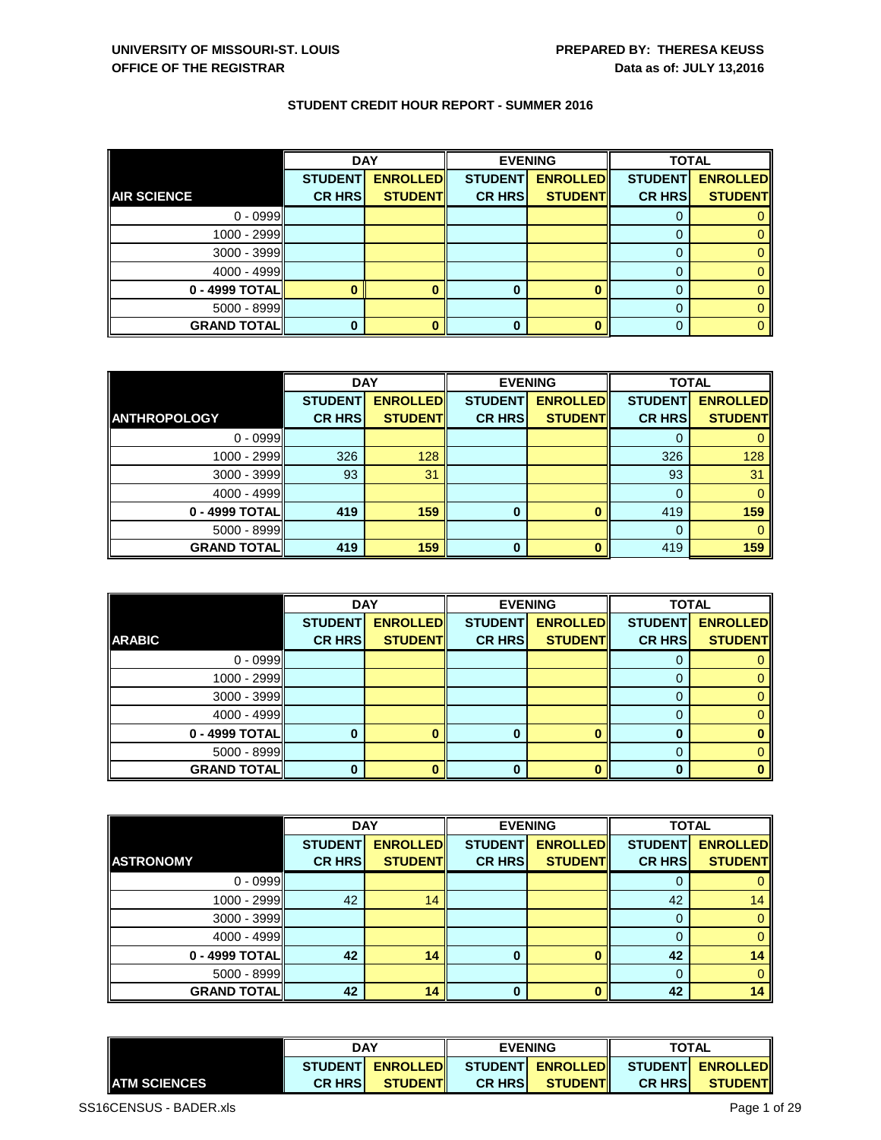|                    | <b>DAY</b>     |                 |                | <b>EVENING</b>  | <b>TOTAL</b>   |                 |
|--------------------|----------------|-----------------|----------------|-----------------|----------------|-----------------|
|                    | <b>STUDENT</b> | <b>ENROLLED</b> | <b>STUDENT</b> | <b>ENROLLED</b> | <b>STUDENT</b> | <b>ENROLLED</b> |
| <b>AIR SCIENCE</b> | <b>CR HRS</b>  | <b>STUDENT</b>  | <b>CR HRS</b>  | <b>STUDENT</b>  | <b>CR HRS</b>  | <b>STUDENT</b>  |
| $0 - 0999$         |                |                 |                |                 |                |                 |
| 1000 - 2999        |                |                 |                |                 |                |                 |
| $3000 - 3999$      |                |                 |                |                 |                |                 |
| $4000 - 4999$      |                |                 |                |                 |                |                 |
| $0 - 4999$ TOTAL   |                |                 |                |                 |                |                 |
| $5000 - 8999$      |                |                 |                |                 |                |                 |
| <b>GRAND TOTAL</b> |                |                 | 0              |                 |                | 0.              |

|                     | <b>DAY</b>     |                 | <b>EVENING</b> |                 | <b>TOTAL</b>   |                 |
|---------------------|----------------|-----------------|----------------|-----------------|----------------|-----------------|
|                     | <b>STUDENT</b> | <b>ENROLLED</b> | <b>STUDENT</b> | <b>ENROLLED</b> | <b>STUDENT</b> | <b>ENROLLED</b> |
| <b>ANTHROPOLOGY</b> | <b>CR HRS</b>  | <b>STUDENT</b>  | <b>CR HRS</b>  | <b>STUDENT</b>  | <b>CR HRS</b>  | <b>STUDENT</b>  |
| $0 - 0999$          |                |                 |                |                 |                |                 |
| 1000 - 2999         | 326            | 128             |                |                 | 326            | 128             |
| $3000 - 3999$       | 93             | 31              |                |                 | 93             | 31              |
| 4000 - 4999         |                |                 |                |                 | $\Omega$       | $\Omega$        |
| 0 - 4999 TOTAL      | 419            | 159             | 0              | 0               | 419            | 159             |
| $5000 - 8999$       |                |                 |                |                 | 0              | 0               |
| <b>GRAND TOTAL</b>  | 419            | 159             | $\bf{0}$       | Ω               | 419            | 159             |

|                    | <b>DAY</b>     |                 |                | <b>EVENING</b>  | <b>TOTAL</b>   |                 |
|--------------------|----------------|-----------------|----------------|-----------------|----------------|-----------------|
|                    | <b>STUDENT</b> | <b>ENROLLED</b> | <b>STUDENT</b> | <b>ENROLLED</b> | <b>STUDENT</b> | <b>ENROLLED</b> |
| <b>ARABIC</b>      | <b>CR HRS</b>  | <b>STUDENT</b>  | <b>CR HRS</b>  | <b>STUDENT</b>  | <b>CR HRS</b>  | <b>STUDENT</b>  |
| $0 - 0999$         |                |                 |                |                 |                |                 |
| 1000 - 2999        |                |                 |                |                 |                |                 |
| $3000 - 3999$      |                |                 |                |                 |                |                 |
| 4000 - 4999        |                |                 |                |                 |                |                 |
| 0 - 4999 TOTAL     |                |                 | 0              |                 | O              |                 |
| $5000 - 8999$      |                |                 |                |                 |                |                 |
| <b>GRAND TOTAL</b> |                |                 | 0              |                 | ŋ              |                 |

|                    | <b>DAY</b>     |                 | <b>EVENING</b> |                 | <b>TOTAL</b>   |                 |
|--------------------|----------------|-----------------|----------------|-----------------|----------------|-----------------|
|                    | <b>STUDENT</b> | <b>ENROLLED</b> | <b>STUDENT</b> | <b>ENROLLED</b> | <b>STUDENT</b> | <b>ENROLLED</b> |
| <b>ASTRONOMY</b>   | <b>CR HRS</b>  | <b>STUDENT</b>  | <b>CR HRS</b>  | <b>STUDENT</b>  | <b>CR HRS</b>  | <b>STUDENT</b>  |
| $0 - 0999$         |                |                 |                |                 |                |                 |
| 1000 - 2999        | 42             | 14              |                |                 | 42             | 14              |
| $3000 - 3999$      |                |                 |                |                 | 0              | $\mathbf{0}$    |
| 4000 - 4999        |                |                 |                |                 |                | $\mathbf{0}$    |
| 0 - 4999 TOTAL     | 42             | 14              | $\bf{0}$       |                 | 42             | 14              |
| $5000 - 8999$      |                |                 |                |                 | $\Omega$       | $\overline{0}$  |
| <b>GRAND TOTAL</b> | 42             | 14              | $\bf{0}$       |                 | 42             | 14              |

|                      | DAY<br>ENROLLED STUDENT ENROLLED STUDENT ENROLLED<br><b>STUDENTI</b> |                  | <b>EVENING</b> |                  | <b>TOTAL</b>   |                |
|----------------------|----------------------------------------------------------------------|------------------|----------------|------------------|----------------|----------------|
|                      |                                                                      |                  |                |                  |                |                |
| <b>LATM SCIENCES</b> | <b>CR HRSI</b>                                                       | <b>STUDENTIL</b> | <b>CR HRSI</b> | <b>STUDENTIL</b> | <b>CR HRSI</b> | <b>STUDENT</b> |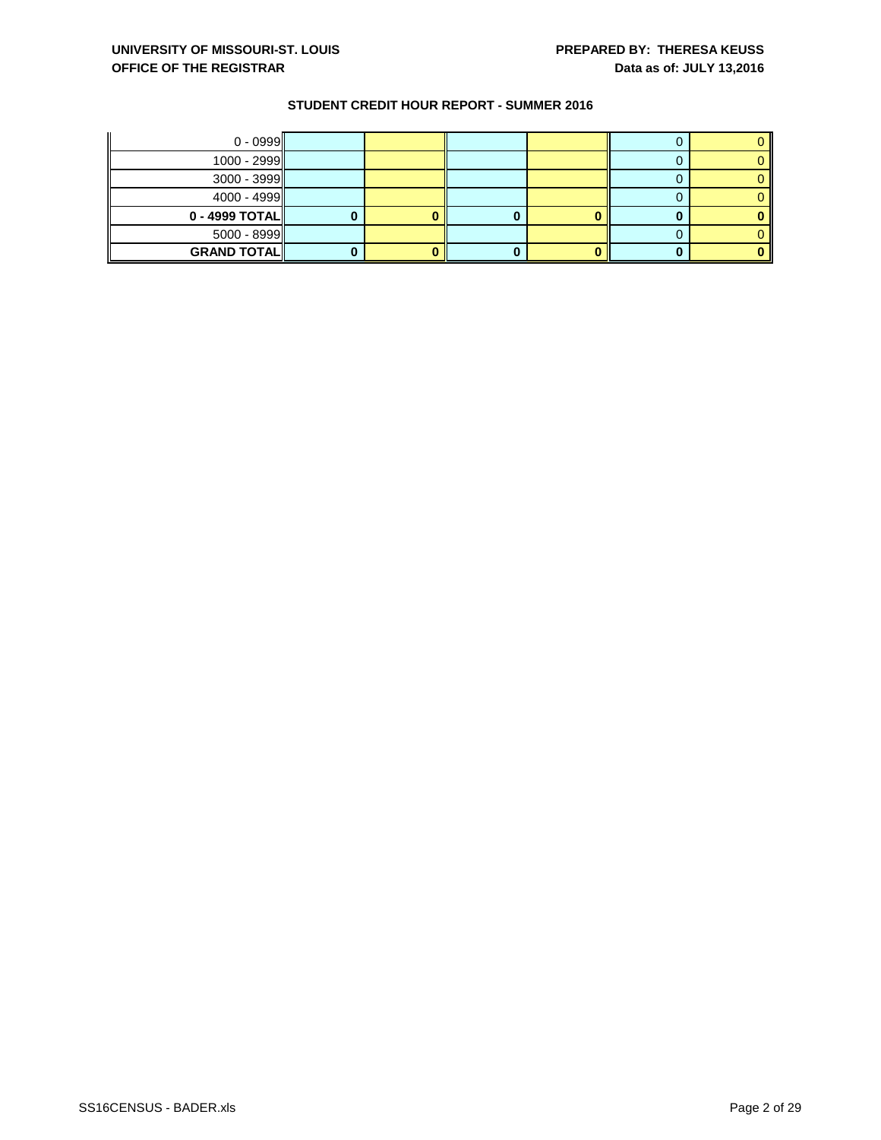| $0 - 0999$         |  |  |  |
|--------------------|--|--|--|
| $1000 - 2999$      |  |  |  |
| $3000 - 3999$      |  |  |  |
| $4000 - 4999$      |  |  |  |
| $0 - 4999$ TOTAL   |  |  |  |
| $5000 - 8999$      |  |  |  |
| <b>GRAND TOTAL</b> |  |  |  |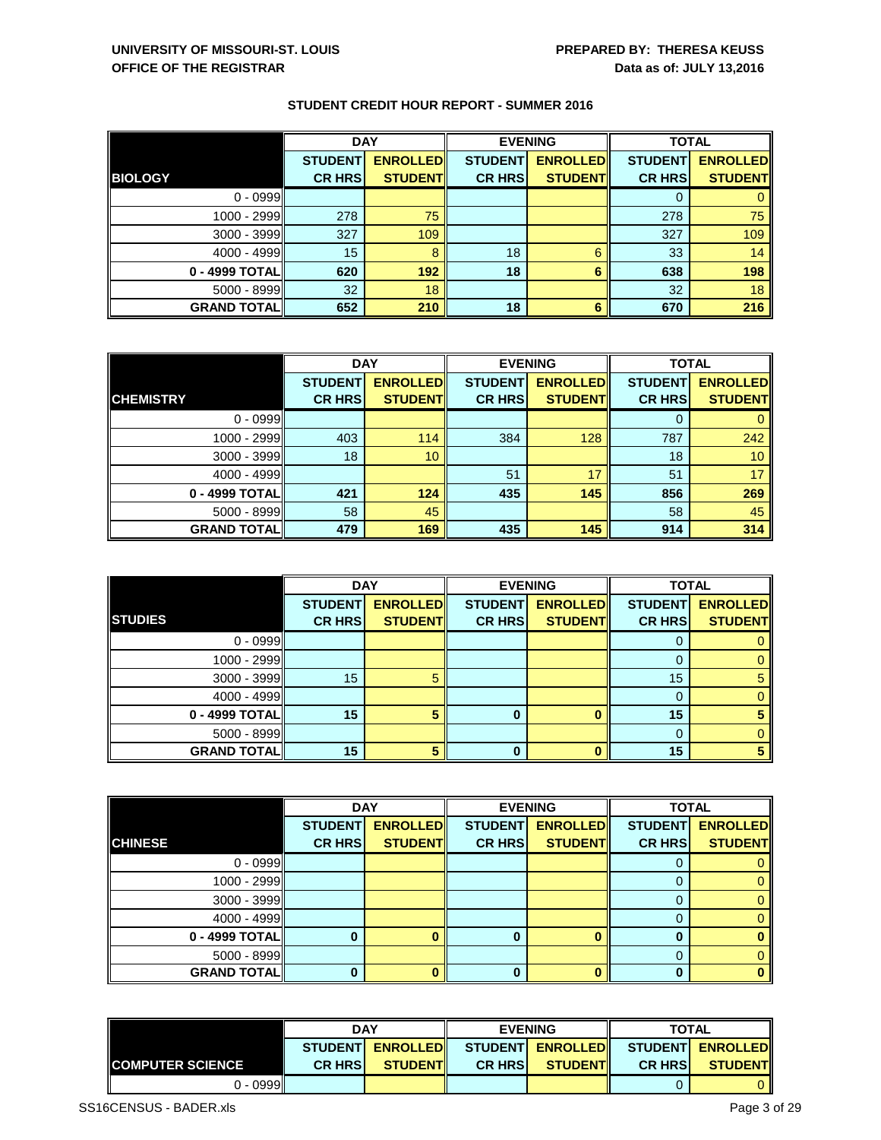|                      | <b>DAY</b>     |                 |                | <b>EVENING</b>  | <b>TOTAL</b>   |                 |
|----------------------|----------------|-----------------|----------------|-----------------|----------------|-----------------|
|                      | <b>STUDENT</b> | <b>ENROLLED</b> | <b>STUDENT</b> | <b>ENROLLED</b> | <b>STUDENT</b> | <b>ENROLLED</b> |
| <b>BIOLOGY</b>       | <b>CR HRS</b>  | <b>STUDENT</b>  | <b>CR HRS</b>  | <b>STUDENT</b>  | <b>CR HRS</b>  | <b>STUDENT</b>  |
| $0 - 0999$           |                |                 |                |                 |                |                 |
| 1000 - 2999          | 278            | 75              |                |                 | 278            | 75              |
| $3000 - 3999$        | 327            | 109             |                |                 | 327            | 109             |
| $4000 - 4999$        | 15             | 8               | 18             | 6               | 33             | 14              |
| 0 - 4999 TOTAL       | 620            | 192             | 18             | 6               | 638            | 198             |
| $5000 - 8999$        | 32             | 18              |                |                 | 32             | 18              |
| <b>GRAND TOTAL  </b> | 652            | 210             | 18             | 6               | 670            | 216             |

|                    | <b>DAY</b>     |                 |                | <b>EVENING</b>  | <b>TOTAL</b>   |                 |
|--------------------|----------------|-----------------|----------------|-----------------|----------------|-----------------|
|                    | <b>STUDENT</b> | <b>ENROLLED</b> | <b>STUDENT</b> | <b>ENROLLED</b> | <b>STUDENT</b> | <b>ENROLLED</b> |
| <b>CHEMISTRY</b>   | <b>CR HRS</b>  | <b>STUDENT</b>  | <b>CR HRS</b>  | <b>STUDENT</b>  | <b>CR HRS</b>  | <b>STUDENT</b>  |
| $0 - 0999$         |                |                 |                |                 |                |                 |
| 1000 - 2999        | 403            | 114             | 384            | 128             | 787            | 242             |
| $3000 - 3999$      | 18             | 10              |                |                 | 18             | 10 <sup>°</sup> |
| 4000 - 4999        |                |                 | 51             | 17              | 51             | 17              |
| 0 - 4999 TOTAL     | 421            | 124             | 435            | 145             | 856            | 269             |
| $5000 - 8999$      | 58             | 45              |                |                 | 58             | 45              |
| <b>GRAND TOTAL</b> | 479            | 169             | 435            | 145             | 914            | 314             |

|                     | <b>DAY</b>     |                 |                | <b>EVENING</b>  | <b>TOTAL</b>   |                 |
|---------------------|----------------|-----------------|----------------|-----------------|----------------|-----------------|
|                     | <b>STUDENT</b> | <b>ENROLLED</b> | <b>STUDENT</b> | <b>ENROLLED</b> | <b>STUDENT</b> | <b>ENROLLED</b> |
| <b>STUDIES</b>      | <b>CR HRS</b>  | <b>STUDENT</b>  | <b>CR HRS</b>  | <b>STUDENT</b>  | <b>CR HRS</b>  | <b>STUDENT</b>  |
| $0 - 0999$          |                |                 |                |                 |                | 0               |
| 1000 - 2999         |                |                 |                |                 |                | $\mathbf{0}$    |
| $3000 - 3999$       | 15             | 5               |                |                 | 15             | 5               |
| 4000 - 4999         |                |                 |                |                 | 0              | 0               |
| 0 - 4999 TOTAL      | 15             | 5               | $\bf{0}$       |                 | 15             | 5               |
| $5000 - 8999$       |                |                 |                |                 |                | 0               |
| <b>GRAND TOTALI</b> | 15             |                 | 0              |                 | 15             | 5               |

|                    | <b>DAY</b>     |                 |                | <b>EVENING</b>  | <b>TOTAL</b>   |                 |
|--------------------|----------------|-----------------|----------------|-----------------|----------------|-----------------|
|                    | <b>STUDENT</b> | <b>ENROLLED</b> | <b>STUDENT</b> | <b>ENROLLED</b> | <b>STUDENT</b> | <b>ENROLLED</b> |
| <b>CHINESE</b>     | <b>CR HRS</b>  | <b>STUDENT</b>  | <b>CR HRS</b>  | <b>STUDENT</b>  | <b>CR HRS</b>  | <b>STUDENT</b>  |
| $0 - 0999$         |                |                 |                |                 |                | $\mathbf{0}$    |
| 1000 - 2999        |                |                 |                |                 |                | $\Omega$        |
| $3000 - 3999$      |                |                 |                |                 |                | $\overline{0}$  |
| $4000 - 4999$      |                |                 |                |                 |                | $\mathbf{0}$    |
| 0 - 4999 TOTAL     |                |                 | $\bf{0}$       |                 |                | $\bf{0}$        |
| $5000 - 8999$      |                |                 |                |                 | 0              | $\Omega$        |
| <b>GRAND TOTAL</b> | 0              |                 | $\Omega$       |                 |                | $\Omega$        |

|                           | <b>DAY</b>                                                    |                  | <b>EVENING</b> |                 | <b>TOTAL</b>   |                |
|---------------------------|---------------------------------------------------------------|------------------|----------------|-----------------|----------------|----------------|
|                           | ENROLLED STUDENT ENROLLED STUDENT ENROLLED<br><b>STUDENTI</b> |                  |                |                 |                |                |
| <b>IICOMPUTER SCIENCE</b> | <b>CR HRSI</b>                                                | <b>STUDENTIL</b> | <b>CR HRSI</b> | <b>STUDENTI</b> | <b>CR HRSI</b> | <b>STUDENT</b> |
| $0 - 0999$                |                                                               |                  |                |                 |                |                |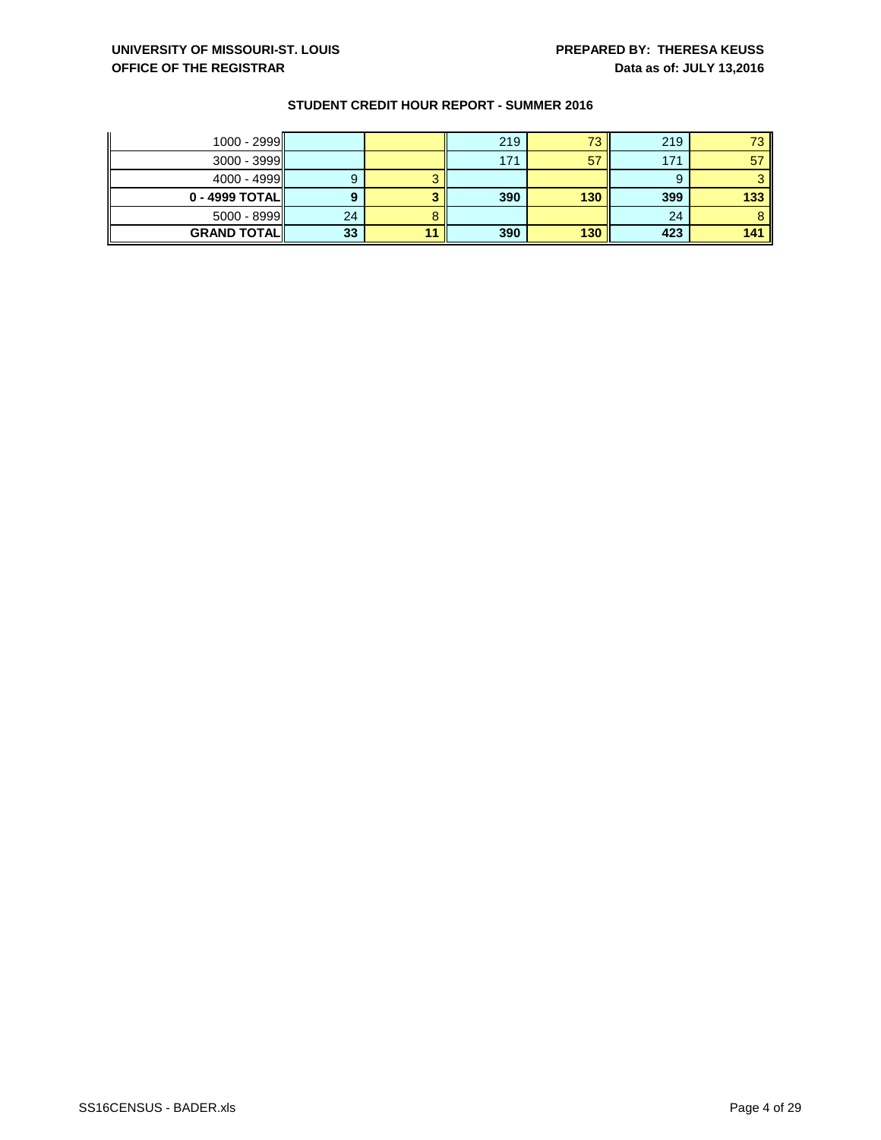| $1000 - 2999$      |    | 219 | 73  | 219 | 73  |
|--------------------|----|-----|-----|-----|-----|
| $3000 - 3999$      |    | 171 | 57  | 171 | 57  |
| $4000 - 4999$      |    |     |     |     |     |
| $0 - 4999$ TOTAL   |    | 390 | 130 | 399 | 133 |
| $5000 - 8999$      | 24 |     |     | 24  |     |
| <b>GRAND TOTAL</b> | 33 | 390 | 130 | 423 | 141 |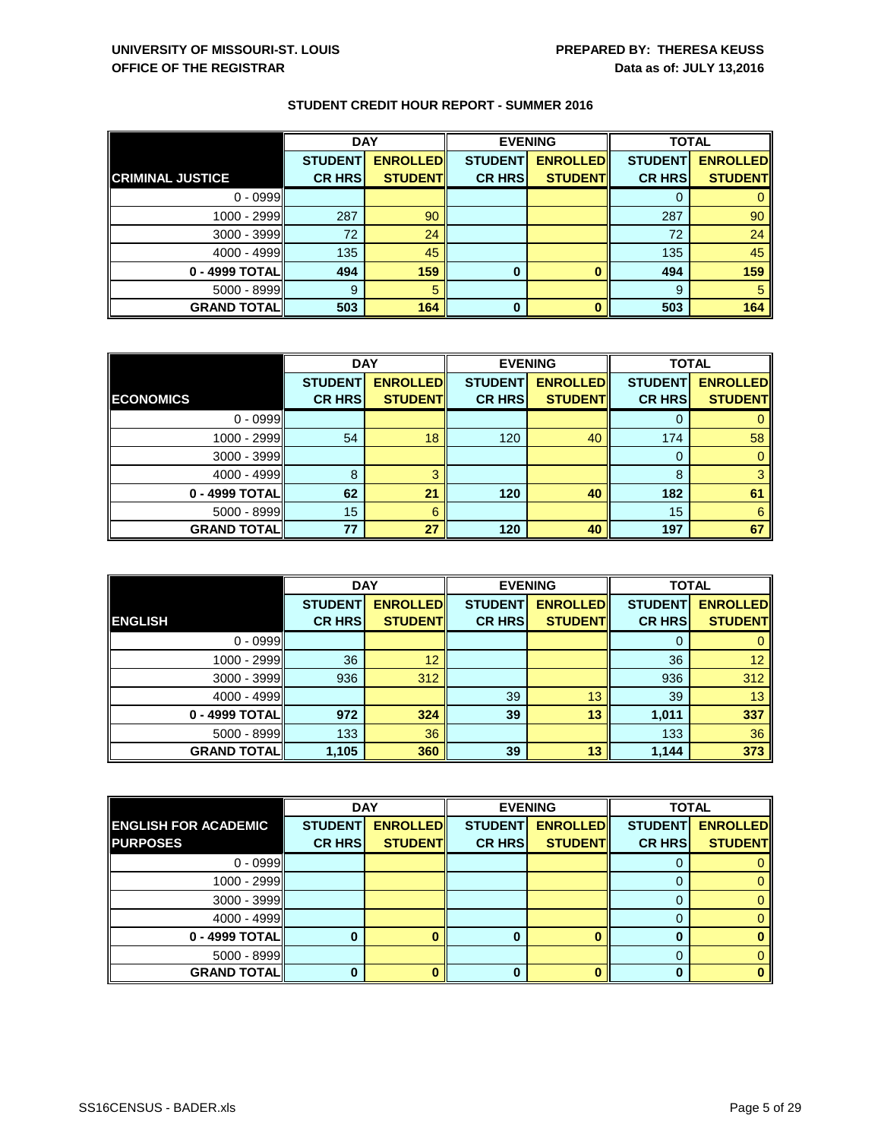|                         | <b>DAY</b>     |                 | <b>EVENING</b> |                 | <b>TOTAL</b>   |                 |
|-------------------------|----------------|-----------------|----------------|-----------------|----------------|-----------------|
|                         | <b>STUDENT</b> | <b>ENROLLED</b> | <b>STUDENT</b> | <b>ENROLLED</b> | <b>STUDENT</b> | <b>ENROLLED</b> |
| <b>CRIMINAL JUSTICE</b> | <b>CR HRS</b>  | <b>STUDENT</b>  | <b>CR HRS</b>  | <b>STUDENT</b>  | <b>CR HRS</b>  | <b>STUDENT</b>  |
| $0 - 0999$              |                |                 |                |                 | 0              |                 |
| 1000 - 2999             | 287            | 90              |                |                 | 287            | 90              |
| $3000 - 3999$           | 72             | 24              |                |                 | 72             | 24              |
| 4000 - 4999             | 135            | 45              |                |                 | 135            | 45              |
| 0 - 4999 TOTAL          | 494            | 159             | 0              |                 | 494            | 159             |
| $5000 - 8999$           | 9              | 5               |                |                 | 9              | 5               |
| <b>GRAND TOTAL  </b>    | 503            | 164             | 0              |                 | 503            | 164             |

|                    | <b>DAY</b>     |                 |                | <b>EVENING</b>  | <b>TOTAL</b>   |                 |
|--------------------|----------------|-----------------|----------------|-----------------|----------------|-----------------|
|                    | <b>STUDENT</b> | <b>ENROLLED</b> | <b>STUDENT</b> | <b>ENROLLED</b> | <b>STUDENT</b> | <b>ENROLLED</b> |
| <b>ECONOMICS</b>   | <b>CR HRS</b>  | <b>STUDENT</b>  | <b>CR HRS</b>  | <b>STUDENT</b>  | <b>CR HRS</b>  | <b>STUDENT</b>  |
| $0 - 0999$         |                |                 |                |                 |                |                 |
| 1000 - 2999        | 54             | 18              | 120            | 40              | 174            | 58              |
| $3000 - 3999$      |                |                 |                |                 | 0              |                 |
| 4000 - 4999        | 8              |                 |                |                 | 8              |                 |
| 0 - 4999 TOTAL     | 62             | 21              | 120            | 40              | 182            | 61              |
| $5000 - 8999$      | 15             | 6               |                |                 | 15             | 6               |
| <b>GRAND TOTAL</b> | 77             | 27              | 120            | 40              | 197            | 67              |

|                    | <b>DAY</b>     |                 |                | <b>EVENING</b>  |                | <b>TOTAL</b>    |  |
|--------------------|----------------|-----------------|----------------|-----------------|----------------|-----------------|--|
|                    | <b>STUDENT</b> | <b>ENROLLED</b> | <b>STUDENT</b> | <b>ENROLLED</b> | <b>STUDENT</b> | <b>ENROLLED</b> |  |
| <b>ENGLISH</b>     | <b>CR HRS</b>  | <b>STUDENT</b>  | <b>CR HRS</b>  | <b>STUDENT</b>  | <b>CR HRS</b>  | <b>STUDENT</b>  |  |
| $0 - 0999$         |                |                 |                |                 | 0              | 0               |  |
| 1000 - 2999        | 36             | 12              |                |                 | 36             | 12 <sub>2</sub> |  |
| $3000 - 3999$      | 936            | 312             |                |                 | 936            | 312             |  |
| 4000 - 4999        |                |                 | 39             | 13              | 39             | 13              |  |
| 0 - 4999 TOTAL     | 972            | 324             | 39             | 13              | 1,011          | 337             |  |
| $5000 - 8999$      | 133            | 36              |                |                 | 133            | 36              |  |
| <b>GRAND TOTAL</b> | 1,105          | 360             | 39             | 13              | 1,144          | 373             |  |

|                             | <b>DAY</b>     |                 |                | <b>EVENING</b>  | <b>TOTAL</b>   |                 |
|-----------------------------|----------------|-----------------|----------------|-----------------|----------------|-----------------|
| <b>ENGLISH FOR ACADEMIC</b> | <b>STUDENT</b> | <b>ENROLLED</b> | <b>STUDENT</b> | <b>ENROLLED</b> | <b>STUDENT</b> | <b>ENROLLED</b> |
| <b>PURPOSES</b>             | <b>CR HRS</b>  | <b>STUDENT</b>  | <b>CR HRS</b>  | <b>STUDENT</b>  | <b>CR HRS</b>  | <b>STUDENT</b>  |
| $0 - 0999$                  |                |                 |                |                 |                |                 |
| 1000 - 2999                 |                |                 |                |                 |                | 0               |
| $3000 - 3999$               |                |                 |                |                 | O              | 0               |
| 4000 - 4999                 |                |                 |                |                 |                | 0               |
| 0 - 4999 TOTAL              |                |                 | 0              |                 |                |                 |
| $5000 - 8999$               |                |                 |                |                 | O              |                 |
| <b>GRAND TOTAL</b>          |                |                 | Ω              |                 |                |                 |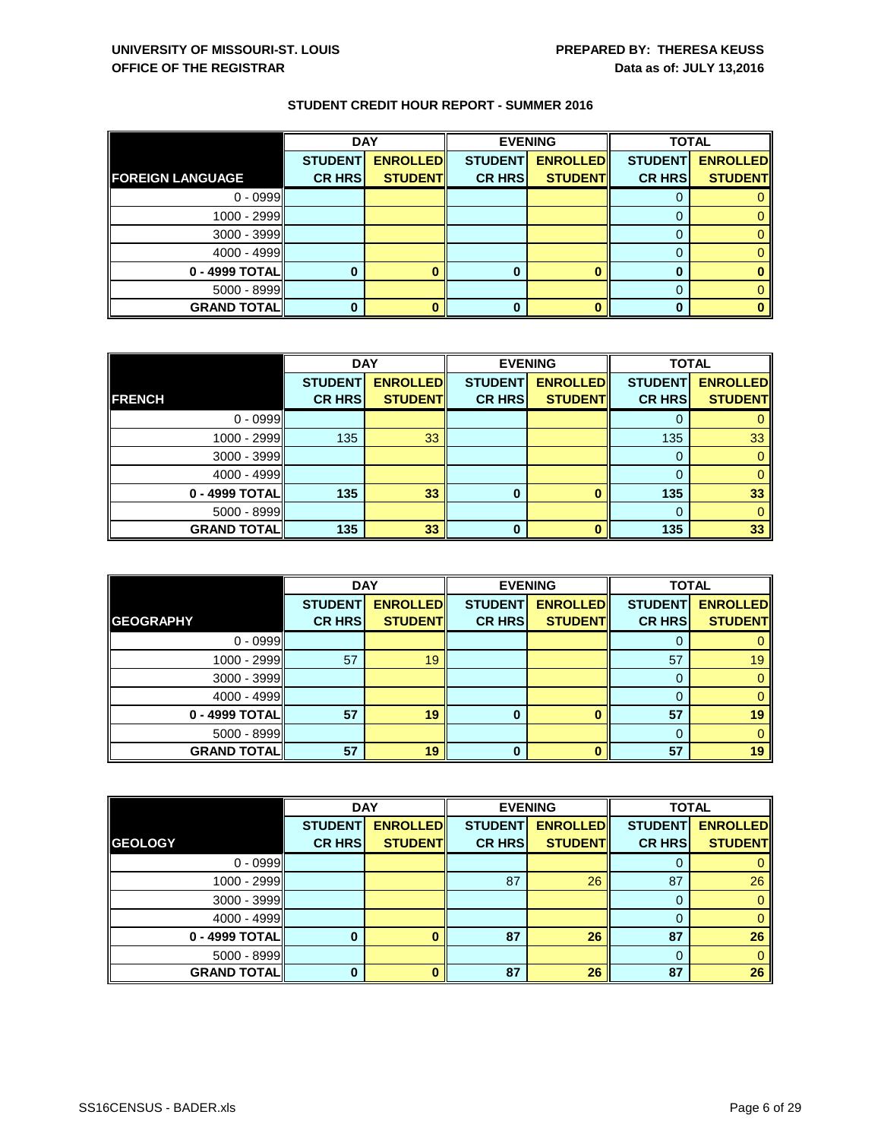|                         | <b>DAY</b>     |                 |                | <b>EVENING</b>  | <b>TOTAL</b>   |                 |
|-------------------------|----------------|-----------------|----------------|-----------------|----------------|-----------------|
|                         | <b>STUDENT</b> | <b>ENROLLED</b> | <b>STUDENT</b> | <b>ENROLLED</b> | <b>STUDENT</b> | <b>ENROLLED</b> |
| <b>FOREIGN LANGUAGE</b> | <b>CR HRS</b>  | <b>STUDENT</b>  | <b>CR HRS</b>  | <b>STUDENT</b>  | <b>CR HRS</b>  | <b>STUDENT</b>  |
| $0 - 0999$              |                |                 |                |                 | U              |                 |
| 1000 - 2999             |                |                 |                |                 | 0              |                 |
| $3000 - 3999$           |                |                 |                |                 | 0              |                 |
| $4000 - 4999$           |                |                 |                |                 | 0              |                 |
| 0 - 4999 TOTAL          |                |                 | 0              |                 | 0              |                 |
| $5000 - 8999$           |                |                 |                |                 | 0              |                 |
| <b>GRAND TOTAL</b>      |                |                 | 0              |                 | 0              |                 |

|                      | <b>DAY</b>     |                 | <b>EVENING</b> |                 | <b>TOTAL</b>   |                 |
|----------------------|----------------|-----------------|----------------|-----------------|----------------|-----------------|
|                      | <b>STUDENT</b> | <b>ENROLLED</b> | <b>STUDENT</b> | <b>ENROLLED</b> | <b>STUDENT</b> | <b>ENROLLED</b> |
| <b>FRENCH</b>        | <b>CR HRS</b>  | <b>STUDENT</b>  | <b>CR HRS</b>  | <b>STUDENT</b>  | <b>CR HRS</b>  | <b>STUDENT</b>  |
| $0 - 0999$           |                |                 |                |                 |                |                 |
| 1000 - 2999          | 135            | 33              |                |                 | 135            | 33              |
| $3000 - 3999$        |                |                 |                |                 | 0              |                 |
| $4000 - 4999$        |                |                 |                |                 | $\Omega$       |                 |
| 0 - 4999 TOTAL       | 135            | 33              | 0              |                 | 135            | 33 <sup>°</sup> |
| $5000 - 8999$        |                |                 |                |                 | 0              |                 |
| <b>GRAND TOTAL  </b> | 135            | 33              | 0              |                 | 135            | 33              |

|                    | <b>DAY</b>     |                 | <b>EVENING</b> |                 | <b>TOTAL</b>   |                 |
|--------------------|----------------|-----------------|----------------|-----------------|----------------|-----------------|
|                    | <b>STUDENT</b> | <b>ENROLLED</b> | <b>STUDENT</b> | <b>ENROLLED</b> | <b>STUDENT</b> | <b>ENROLLED</b> |
| <b>GEOGRAPHY</b>   | <b>CR HRS</b>  | <b>STUDENT</b>  | <b>CR HRS</b>  | <b>STUDENT</b>  | <b>CR HRS</b>  | <b>STUDENT</b>  |
| $0 - 0999$         |                |                 |                |                 | O              |                 |
| 1000 - 2999        | 57             | 19              |                |                 | 57             | 19              |
| $3000 - 3999$      |                |                 |                |                 | $\Omega$       |                 |
| 4000 - 4999        |                |                 |                |                 | 0              |                 |
| 0 - 4999 TOTAL     | 57             | 19              | $\bf{0}$       | ŋ               | 57             | 19              |
| $5000 - 8999$      |                |                 |                |                 | 0              | 0               |
| <b>GRAND TOTAL</b> | 57             | 19              | 0              |                 | 57             | 19              |

|                      | <b>DAY</b>     |                 |                | <b>EVENING</b>  | <b>TOTAL</b>   |                 |
|----------------------|----------------|-----------------|----------------|-----------------|----------------|-----------------|
|                      | <b>STUDENT</b> | <b>ENROLLED</b> | <b>STUDENT</b> | <b>ENROLLED</b> | <b>STUDENT</b> | <b>ENROLLED</b> |
| <b>GEOLOGY</b>       | <b>CR HRS</b>  | <b>STUDENT</b>  | <b>CR HRS</b>  | <b>STUDENT</b>  | <b>CR HRS</b>  | <b>STUDENT</b>  |
| $0 - 0999$           |                |                 |                |                 | 0              |                 |
| 1000 - 2999          |                |                 | 87             | 26              | 87             | 26              |
| $3000 - 3999$        |                |                 |                |                 | 0              | 0               |
| 4000 - 4999          |                |                 |                |                 | 0              | 0               |
| 0 - 4999 TOTAL       |                |                 | 87             | 26              | 87             | 26              |
| $5000 - 8999$        |                |                 |                |                 | 0              | 0               |
| <b>GRAND TOTAL  </b> |                |                 | 87             | 26              | 87             | 26              |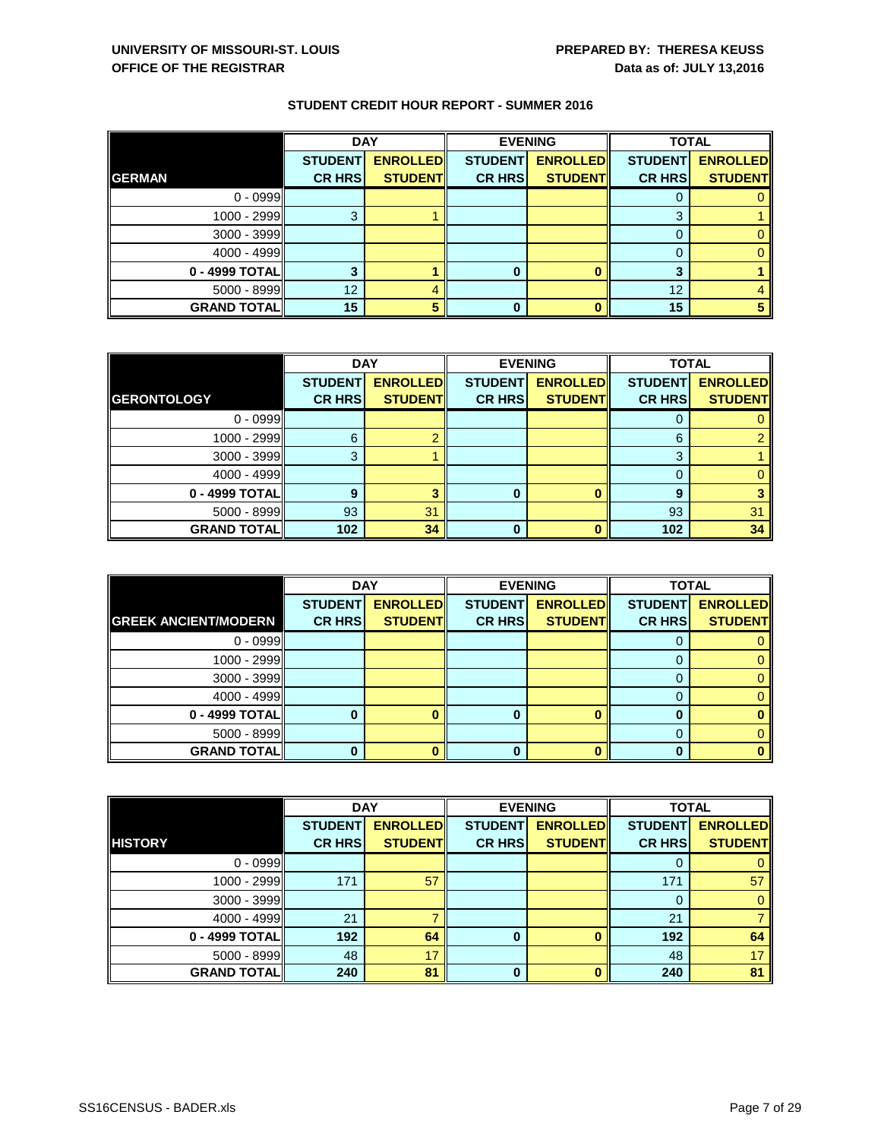|                    | <b>DAY</b>     |                 |                | <b>EVENING</b>  | <b>TOTAL</b>   |                 |
|--------------------|----------------|-----------------|----------------|-----------------|----------------|-----------------|
|                    | <b>STUDENT</b> | <b>ENROLLED</b> | <b>STUDENT</b> | <b>ENROLLED</b> | <b>STUDENT</b> | <b>ENROLLED</b> |
| <b>GERMAN</b>      | <b>CR HRS</b>  | <b>STUDENT</b>  | <b>CR HRS</b>  | <b>STUDENT</b>  | <b>CR HRS</b>  | <b>STUDENT</b>  |
| $0 - 0999$         |                |                 |                |                 |                |                 |
| 1000 - 2999        | 3              |                 |                |                 | 3              |                 |
| $3000 - 3999$      |                |                 |                |                 |                |                 |
| $4000 - 4999$      |                |                 |                |                 | 0              |                 |
| 0 - 4999 TOTAL     |                |                 | O              |                 | າ              |                 |
| $5000 - 8999$      | 12             |                 |                |                 | 12             |                 |
| <b>GRAND TOTAL</b> | 15             |                 |                |                 | 15             |                 |

|                      | <b>DAY</b>     |                 |                | <b>EVENING</b>  | <b>TOTAL</b>   |                 |
|----------------------|----------------|-----------------|----------------|-----------------|----------------|-----------------|
|                      | <b>STUDENT</b> | <b>ENROLLED</b> | <b>STUDENT</b> | <b>ENROLLED</b> | <b>STUDENT</b> | <b>ENROLLED</b> |
| <b>GERONTOLOGY</b>   | <b>CR HRS</b>  | <b>STUDENT</b>  | <b>CR HRS</b>  | <b>STUDENT</b>  | <b>CR HRS</b>  | <b>STUDENT</b>  |
| $0 - 0999$           |                |                 |                |                 |                |                 |
| 1000 - 2999          | 6              |                 |                |                 | 6              |                 |
| $3000 - 3999$        |                |                 |                |                 | 2<br>J.        |                 |
| 4000 - 4999          |                |                 |                |                 |                |                 |
| 0 - 4999 TOTAL       | 9              |                 | 0              |                 | 9              |                 |
| $5000 - 8999$        | 93             | 31              |                |                 | 93             | 31              |
| <b>GRAND TOTAL  </b> | 102            | 34              | 0              |                 | 102            | 34              |

|                             | <b>DAY</b>     |                 | <b>EVENING</b> |                 | <b>TOTAL</b>   |                 |
|-----------------------------|----------------|-----------------|----------------|-----------------|----------------|-----------------|
|                             | <b>STUDENT</b> | <b>ENROLLED</b> | <b>STUDENT</b> | <b>ENROLLED</b> | <b>STUDENT</b> | <b>ENROLLED</b> |
| <b>GREEK ANCIENT/MODERN</b> | <b>CR HRS</b>  | <b>STUDENT</b>  | <b>CR HRS</b>  | <b>STUDENT</b>  | <b>CR HRS</b>  | <b>STUDENT</b>  |
| $0 - 0999$                  |                |                 |                |                 |                |                 |
| 1000 - 2999                 |                |                 |                |                 |                | 0               |
| $3000 - 3999$               |                |                 |                |                 | $\Gamma$       | 0               |
| $4000 - 4999$               |                |                 |                |                 | 0              | 0               |
| 0 - 4999 TOTAL              |                | o               | 0              |                 | 0              |                 |
| $5000 - 8999$               |                |                 |                |                 |                | 0               |
| <b>GRAND TOTAL</b>          | 0              |                 | 0              |                 | 0              |                 |

|                      | <b>DAY</b>     |                 |                | <b>EVENING</b>  | <b>TOTAL</b>   |                 |
|----------------------|----------------|-----------------|----------------|-----------------|----------------|-----------------|
|                      | <b>STUDENT</b> | <b>ENROLLED</b> | <b>STUDENT</b> | <b>ENROLLED</b> | <b>STUDENT</b> | <b>ENROLLED</b> |
| <b>HISTORY</b>       | <b>CR HRS</b>  | <b>STUDENT</b>  | <b>CR HRS</b>  | <b>STUDENT</b>  | <b>CR HRS</b>  | <b>STUDENT</b>  |
| $0 - 0999$           |                |                 |                |                 | 0              |                 |
| 1000 - 2999          | 171            | 57              |                |                 | 171            | 57              |
| $3000 - 3999$        |                |                 |                |                 | 0              | 0               |
| 4000 - 4999          | 21             |                 |                |                 | 21             |                 |
| 0 - 4999 TOTAL       | 192            | 64              | 0              |                 | 192            | 64              |
| $5000 - 8999$        | 48             | 17              |                |                 | 48             | 17              |
| <b>GRAND TOTAL  </b> | 240            | 81              | $\bf{0}$       |                 | 240            | 81              |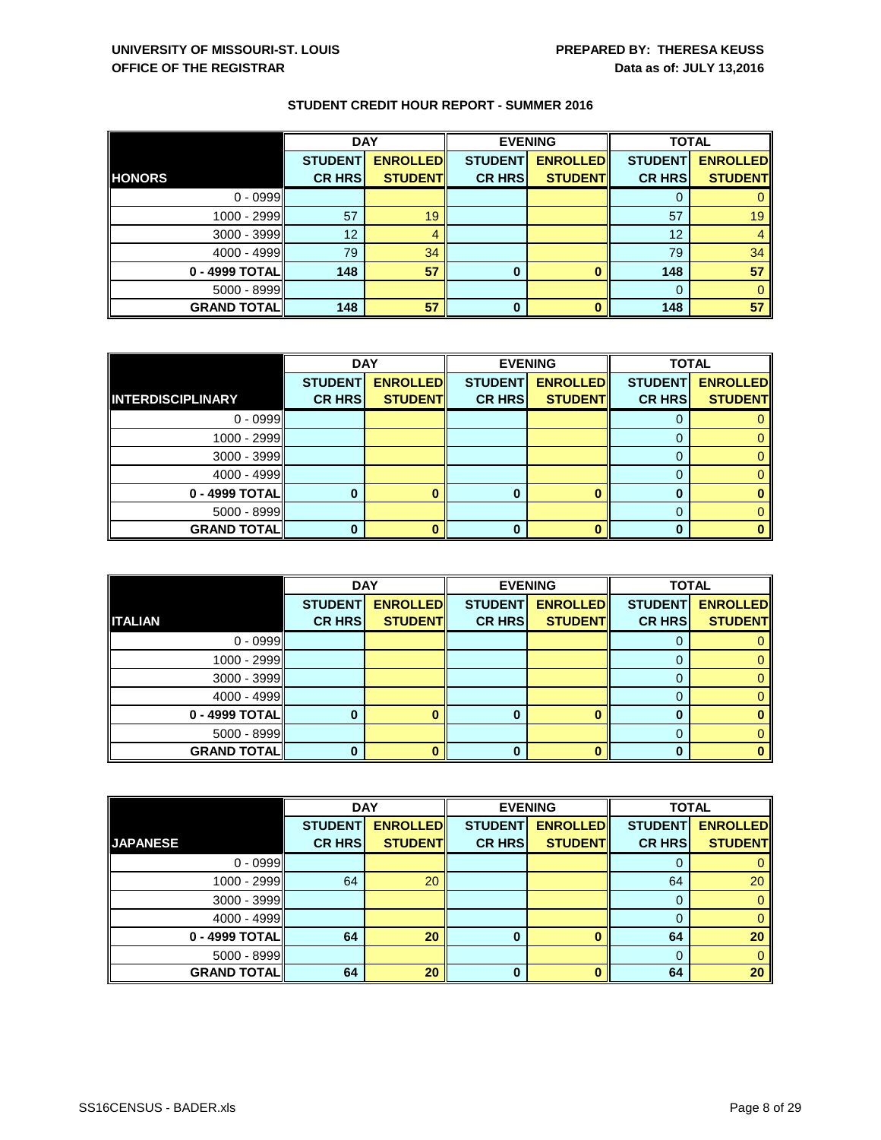|                    | <b>DAY</b>     |                 |                | <b>EVENING</b>  | <b>TOTAL</b>   |                 |
|--------------------|----------------|-----------------|----------------|-----------------|----------------|-----------------|
|                    | <b>STUDENT</b> | <b>ENROLLED</b> | <b>STUDENT</b> | <b>ENROLLED</b> | <b>STUDENT</b> | <b>ENROLLED</b> |
| <b>HONORS</b>      | <b>CR HRS</b>  | <b>STUDENT</b>  | <b>CR HRS</b>  | <b>STUDENT</b>  | <b>CR HRS</b>  | <b>STUDENT</b>  |
| $0 - 0999$         |                |                 |                |                 |                |                 |
| 1000 - 2999        | 57             | 19              |                |                 | 57             | 19              |
| $3000 - 3999$      | 12             | 4               |                |                 | 12             |                 |
| 4000 - 4999        | 79             | 34              |                |                 | 79             | 34              |
| 0 - 4999 TOTAL     | 148            | 57              | $\bf{0}$       | 0               | 148            | 57              |
| $5000 - 8999$      |                |                 |                |                 | 0              |                 |
| <b>GRAND TOTAL</b> | 148            | 57              | $\bf{0}$       | $\bf{0}$        | 148            | 57              |

|                          | <b>DAY</b>     |                 | <b>EVENING</b> |                 | <b>TOTAL</b>   |                 |
|--------------------------|----------------|-----------------|----------------|-----------------|----------------|-----------------|
|                          | <b>STUDENT</b> | <b>ENROLLED</b> | <b>STUDENT</b> | <b>ENROLLED</b> | <b>STUDENT</b> | <b>ENROLLED</b> |
| <b>INTERDISCIPLINARY</b> | <b>CR HRS</b>  | <b>STUDENT</b>  | <b>CR HRS</b>  | <b>STUDENT</b>  | <b>CR HRS</b>  | <b>STUDENT</b>  |
| $0 - 0999$               |                |                 |                |                 |                |                 |
| 1000 - 2999              |                |                 |                |                 |                |                 |
| $3000 - 3999$            |                |                 |                |                 |                |                 |
| 4000 - 4999              |                |                 |                |                 |                |                 |
| 0 - 4999 TOTAL           |                |                 | 0              |                 | O              |                 |
| $5000 - 8999$            |                |                 |                |                 |                |                 |
| <b>GRAND TOTAL</b>       |                |                 | U              |                 |                |                 |

|                     | <b>DAY</b>     |                 |                | <b>EVENING</b>  | <b>TOTAL</b>   |                 |
|---------------------|----------------|-----------------|----------------|-----------------|----------------|-----------------|
|                     | <b>STUDENT</b> | <b>ENROLLED</b> | <b>STUDENT</b> | <b>ENROLLED</b> | <b>STUDENT</b> | <b>ENROLLED</b> |
| <b>ITALIAN</b>      | <b>CR HRS</b>  | <b>STUDENT</b>  | <b>CR HRS</b>  | <b>STUDENT</b>  | <b>CR HRS</b>  | <b>STUDENT</b>  |
| $0 - 0999$          |                |                 |                |                 |                |                 |
| 1000 - 2999         |                |                 |                |                 |                | 0               |
| $3000 - 3999$       |                |                 |                |                 |                | 0               |
| $4000 - 4999$       |                |                 |                |                 |                |                 |
| 0 - 4999 TOTAL      |                |                 | 0              |                 |                | $\bf{0}$        |
| $5000 - 8999$       |                |                 |                |                 |                | 0               |
| <b>GRAND TOTALI</b> |                |                 | 0              |                 |                | $\mathbf{0}$    |

|                    | <b>DAY</b>     |                 |                | <b>EVENING</b>  | <b>TOTAL</b>   |                 |
|--------------------|----------------|-----------------|----------------|-----------------|----------------|-----------------|
|                    | <b>STUDENT</b> | <b>ENROLLED</b> | <b>STUDENT</b> | <b>ENROLLED</b> | <b>STUDENT</b> | <b>ENROLLED</b> |
| <b>JAPANESE</b>    | <b>CR HRS</b>  | <b>STUDENT</b>  | <b>CR HRS</b>  | <b>STUDENT</b>  | <b>CR HRS</b>  | <b>STUDENT</b>  |
| $0 - 0999$         |                |                 |                |                 | O              |                 |
| 1000 - 2999        | 64             | 20              |                |                 | 64             | 20              |
| $3000 - 3999$      |                |                 |                |                 | 0              | 0               |
| 4000 - 4999        |                |                 |                |                 |                |                 |
| 0 - 4999 TOTAL     | 64             | 20              | $\bf{0}$       |                 | 64             | 20              |
| $5000 - 8999$      |                |                 |                |                 | 0              | 0               |
| <b>GRAND TOTAL</b> | 64             | 20              | $\bf{0}$       |                 | 64             | 20              |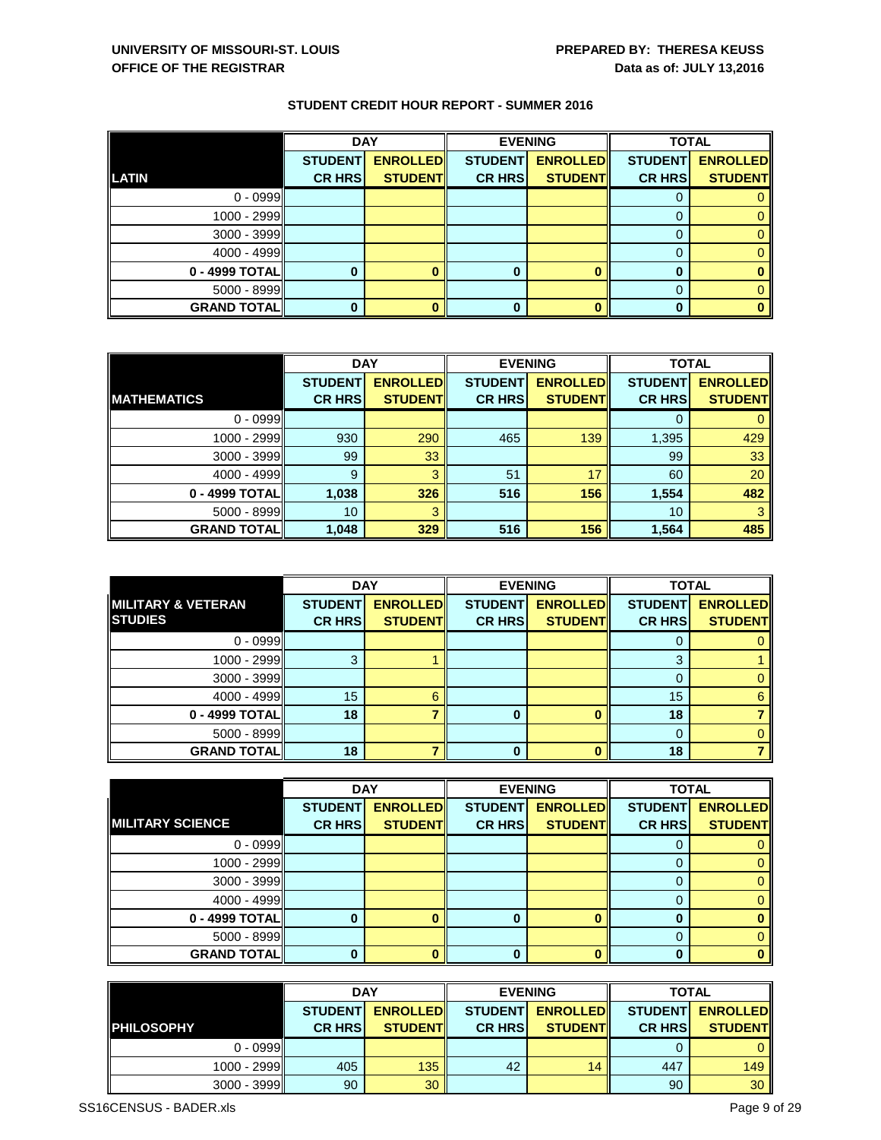|                    | <b>DAY</b>     |                 |                | <b>EVENING</b>  | <b>TOTAL</b>   |                 |
|--------------------|----------------|-----------------|----------------|-----------------|----------------|-----------------|
|                    | <b>STUDENT</b> | <b>ENROLLED</b> | <b>STUDENT</b> | <b>ENROLLED</b> | <b>STUDENT</b> | <b>ENROLLED</b> |
| <b>LATIN</b>       | <b>CR HRS</b>  | <b>STUDENT</b>  | <b>CR HRS</b>  | <b>STUDENT</b>  | <b>CR HRS</b>  | <b>STUDENT</b>  |
| $0 - 0999$         |                |                 |                |                 |                |                 |
| 1000 - 2999        |                |                 |                |                 |                |                 |
| $3000 - 3999$      |                |                 |                |                 | 0              |                 |
| 4000 - 4999        |                |                 |                |                 | O              |                 |
| 0 - 4999 TOTAL     |                |                 |                |                 |                |                 |
| $5000 - 8999$      |                |                 |                |                 | 0              |                 |
| <b>GRAND TOTAL</b> |                |                 |                |                 | 0              |                 |

|                    | <b>DAY</b>     |                 | <b>EVENING</b> |                 | <b>TOTAL</b>   |                 |
|--------------------|----------------|-----------------|----------------|-----------------|----------------|-----------------|
|                    | <b>STUDENT</b> | <b>ENROLLED</b> | <b>STUDENT</b> | <b>ENROLLED</b> | <b>STUDENT</b> | <b>ENROLLED</b> |
| <b>MATHEMATICS</b> | <b>CR HRS</b>  | <b>STUDENT</b>  | <b>CR HRS</b>  | <b>STUDENT</b>  | <b>CR HRS</b>  | <b>STUDENT</b>  |
| $0 - 0999$         |                |                 |                |                 | 0              |                 |
| 1000 - 2999        | 930            | 290             | 465            | 139             | 1,395          | 429             |
| $3000 - 3999$      | 99             | 33              |                |                 | 99             | 33              |
| 4000 - 4999        | 9              | З               | 51             | 17              | 60             | 20              |
| 0 - 4999 TOTAL     | 1,038          | 326             | 516            | 156             | 1,554          | 482             |
| $5000 - 8999$      | 10             | З               |                |                 | 10             |                 |
| <b>GRAND TOTAL</b> | 1,048          | 329             | 516            | 156             | 1,564          | 485             |

|                               | <b>DAY</b>     |                 |                | <b>EVENING</b>  | <b>TOTAL</b>   |                 |
|-------------------------------|----------------|-----------------|----------------|-----------------|----------------|-----------------|
| <b>MILITARY &amp; VETERAN</b> | <b>STUDENT</b> | <b>ENROLLED</b> | <b>STUDENT</b> | <b>ENROLLED</b> | <b>STUDENT</b> | <b>ENROLLED</b> |
| <b>STUDIES</b>                | <b>CR HRS</b>  | <b>STUDENT</b>  | <b>CR HRS</b>  | <b>STUDENT</b>  | <b>CR HRS</b>  | <b>STUDENT</b>  |
| $0 - 0999$                    |                |                 |                |                 |                |                 |
| 1000 - 2999                   |                |                 |                |                 | 2              |                 |
| $3000 - 3999$                 |                |                 |                |                 |                |                 |
| 4000 - 4999                   | 15             | 6               |                |                 | 15             | 6               |
| 0 - 4999 TOTAL                | 18             |                 | 0              |                 | 18             |                 |
| $5000 - 8999$                 |                |                 |                |                 |                |                 |
| <b>GRAND TOTALI</b>           | 18             |                 | 0              |                 | 18             |                 |

|                         | <b>DAY</b>     |                 |                | <b>EVENING</b>  | <b>TOTAL</b>   |                 |
|-------------------------|----------------|-----------------|----------------|-----------------|----------------|-----------------|
|                         | <b>STUDENT</b> | <b>ENROLLED</b> | <b>STUDENT</b> | <b>ENROLLED</b> | <b>STUDENT</b> | <b>ENROLLED</b> |
| <b>MILITARY SCIENCE</b> | <b>CR HRS</b>  | <b>STUDENT</b>  | <b>CR HRS</b>  | <b>STUDENT</b>  | <b>CR HRS</b>  | <b>STUDENT</b>  |
| $0 - 0999$              |                |                 |                |                 |                |                 |
| 1000 - 2999             |                |                 |                |                 |                |                 |
| $3000 - 3999$           |                |                 |                |                 |                |                 |
| 4000 - 4999             |                |                 |                |                 |                |                 |
| 0 - 4999 TOTAL          |                | 0               | 0              |                 | Ю              | 0               |
| $5000 - 8999$           |                |                 |                |                 | 0              |                 |
| <b>GRAND TOTALI</b>     |                |                 | 0              |                 |                | <sup>0</sup>    |

|                   |                | <b>DAY</b>      |                | <b>EVENING</b>  | <b>TOTAL</b>   |                 |
|-------------------|----------------|-----------------|----------------|-----------------|----------------|-----------------|
|                   | <b>STUDENT</b> | <b>ENROLLED</b> | <b>STUDENT</b> | <b>ENROLLED</b> | <b>STUDENT</b> | <b>ENROLLED</b> |
| <b>PHILOSOPHY</b> | <b>CR HRS</b>  | <b>STUDENT</b>  | <b>CR HRS</b>  | <b>STUDENT</b>  | <b>CR HRS</b>  | <b>STUDENT</b>  |
| $0 - 0999$        |                |                 |                |                 |                | $\Omega$        |
| 1000 - 2999       | 405            | 135             | 42             | 14              | 447            | 149             |
| $3000 - 3999$     | 90             | 30              |                |                 | 90             | 30 <sup>°</sup> |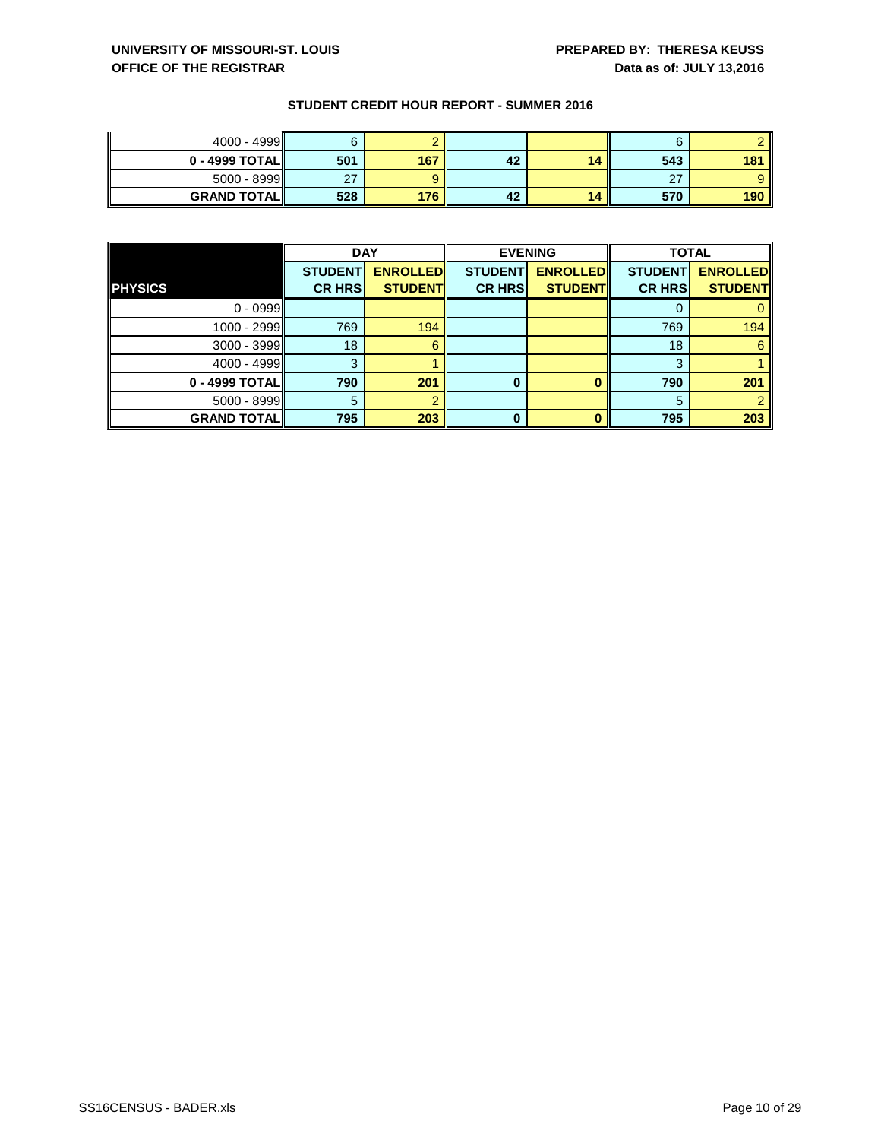| $4000 - 4999$      |        |     |    |    |     |                 |
|--------------------|--------|-----|----|----|-----|-----------------|
| $0 - 4999$ TOTAL   | 501    | 167 | 42 | 14 | 543 | 18 <sup>7</sup> |
| $5000 - 8999$      | $\sim$ |     |    |    | 27  |                 |
| <b>GRAND TOTAL</b> | 528    | 176 | 42 | 14 | 570 | 190             |

|                      | <b>DAY</b>     |                 | <b>EVENING</b> |                 | <b>TOTAL</b>   |                 |
|----------------------|----------------|-----------------|----------------|-----------------|----------------|-----------------|
|                      | <b>STUDENT</b> | <b>ENROLLED</b> | <b>STUDENT</b> | <b>ENROLLED</b> | <b>STUDENT</b> | <b>ENROLLED</b> |
| <b>PHYSICS</b>       | <b>CR HRS</b>  | <b>STUDENT</b>  | <b>CR HRS</b>  | <b>STUDENT</b>  | <b>CR HRS</b>  | <b>STUDENT</b>  |
| $0 - 0999$           |                |                 |                |                 |                |                 |
| 1000 - 2999          | 769            | 194             |                |                 | 769            | 194             |
| $3000 - 3999$        | 18             |                 |                |                 | 18             | 6               |
| 4000 - 4999          |                |                 |                |                 | 3              |                 |
| 0 - 4999 TOTAL       | 790            | 201             | 0              |                 | 790            | 201             |
| $5000 - 8999$        | 5              |                 |                |                 | 5              |                 |
| <b>GRAND TOTAL  </b> | 795            | 203             | 0              |                 | 795            | 203             |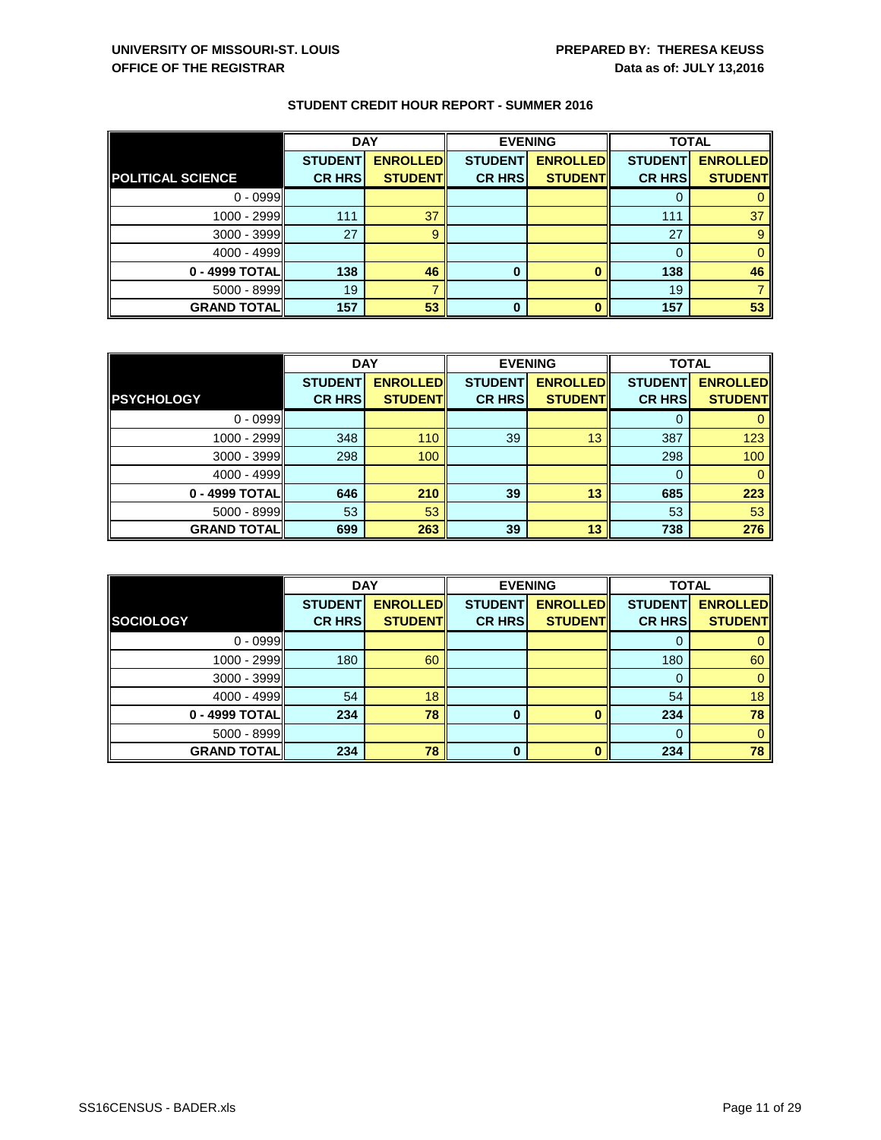|                          | <b>DAY</b>     |                 | <b>EVENING</b> |                 | <b>TOTAL</b>   |                 |
|--------------------------|----------------|-----------------|----------------|-----------------|----------------|-----------------|
|                          | <b>STUDENT</b> | <b>ENROLLED</b> | <b>STUDENT</b> | <b>ENROLLED</b> | <b>STUDENT</b> | <b>ENROLLED</b> |
| <b>POLITICAL SCIENCE</b> | <b>CR HRS</b>  | <b>STUDENT</b>  | <b>CR HRS</b>  | <b>STUDENT</b>  | <b>CR HRS</b>  | <b>STUDENT</b>  |
| $0 - 0999$               |                |                 |                |                 | 0              |                 |
| 1000 - 2999              | 111            | 37              |                |                 | 111            | 37              |
| $3000 - 3999$            | 27             | 9               |                |                 | 27             |                 |
| 4000 - 4999              |                |                 |                |                 | $\mathbf 0$    |                 |
| 0 - 4999 TOTAL           | 138            | 46              | 0              |                 | 138            | 46              |
| $5000 - 8999$            | 19             |                 |                |                 | 19             |                 |
| <b>GRAND TOTAL</b>       | 157            | 53              | 0              |                 | 157            | 53              |

|                    | <b>DAY</b>     |                 | <b>EVENING</b> |                 | <b>TOTAL</b>   |                 |
|--------------------|----------------|-----------------|----------------|-----------------|----------------|-----------------|
|                    | <b>STUDENT</b> | <b>ENROLLED</b> | <b>STUDENT</b> | <b>ENROLLED</b> | <b>STUDENT</b> | <b>ENROLLED</b> |
| <b>PSYCHOLOGY</b>  | <b>CR HRS</b>  | <b>STUDENT</b>  | <b>CR HRS</b>  | <b>STUDENT</b>  | <b>CR HRS</b>  | <b>STUDENT</b>  |
| $0 - 0999$         |                |                 |                |                 |                |                 |
| 1000 - 2999        | 348            | 110             | 39             | 13              | 387            | 123             |
| $3000 - 3999$      | 298            | 100             |                |                 | 298            | 100             |
| 4000 - 4999        |                |                 |                |                 | 0              |                 |
| 0 - 4999 TOTAL     | 646            | 210             | 39             | 13              | 685            | 223             |
| $5000 - 8999$      | 53             | 53              |                |                 | 53             | 53              |
| <b>GRAND TOTAL</b> | 699            | 263             | 39             | 13              | 738            | 276             |

|                    | <b>DAY</b>     |                 |                | <b>EVENING</b>  | <b>TOTAL</b>   |                 |
|--------------------|----------------|-----------------|----------------|-----------------|----------------|-----------------|
|                    | <b>STUDENT</b> | <b>ENROLLED</b> | <b>STUDENT</b> | <b>ENROLLED</b> | <b>STUDENT</b> | <b>ENROLLED</b> |
| SOCIOLOGY          | <b>CR HRS</b>  | <b>STUDENT</b>  | <b>CR HRS</b>  | <b>STUDENT</b>  | <b>CR HRS</b>  | <b>STUDENT</b>  |
| $0 - 0999$         |                |                 |                |                 |                |                 |
| 1000 - 2999        | 180            | 60              |                |                 | 180            | 60              |
| $3000 - 3999$      |                |                 |                |                 | O              | $\Omega$        |
| 4000 - 4999        | 54             | 18              |                |                 | 54             | 18              |
| 0 - 4999 TOTAL     | 234            | 78              | 0              |                 | 234            | 78              |
| $5000 - 8999$      |                |                 |                |                 | $\Omega$       | $\Omega$        |
| <b>GRAND TOTAL</b> | 234            | 78              | $\bf{0}$       |                 | 234            | 78              |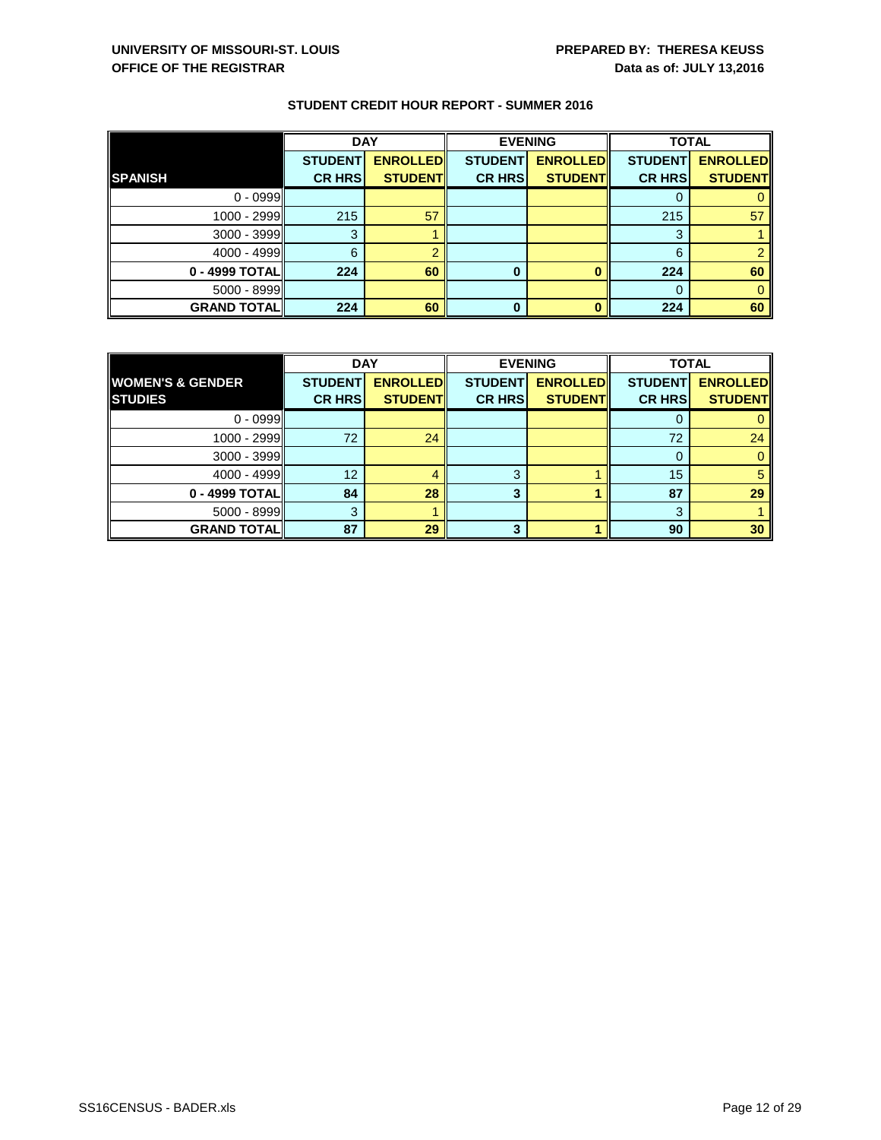|                    | <b>DAY</b>     |                 |                | <b>EVENING</b>  | <b>TOTAL</b>   |                 |
|--------------------|----------------|-----------------|----------------|-----------------|----------------|-----------------|
|                    | <b>STUDENT</b> | <b>ENROLLED</b> | <b>STUDENT</b> | <b>ENROLLED</b> | <b>STUDENT</b> | <b>ENROLLED</b> |
| <b>SPANISH</b>     | <b>CR HRS</b>  | <b>STUDENT</b>  | <b>CR HRS</b>  | <b>STUDENT</b>  | <b>CR HRS</b>  | <b>STUDENT</b>  |
| $0 - 0999$         |                |                 |                |                 |                |                 |
| 1000 - 2999        | 215            | 57              |                |                 | 215            | 57              |
| $3000 - 3999$      | 3              |                 |                |                 | 3              |                 |
| 4000 - 4999        | 6              |                 |                |                 | 6              |                 |
| 0 - 4999 TOTAL     | 224            | 60              | $\bf{0}$       |                 | 224            | 60              |
| $5000 - 8999$      |                |                 |                |                 |                |                 |
| <b>GRAND TOTAL</b> | 224            | 60              | 0              |                 | 224            | 60              |

|                             | <b>DAY</b>     |                 | <b>EVENING</b> |                 | <b>TOTAL</b>   |                 |
|-----------------------------|----------------|-----------------|----------------|-----------------|----------------|-----------------|
| <b>WOMEN'S &amp; GENDER</b> | <b>STUDENT</b> | <b>ENROLLED</b> | <b>STUDENT</b> | <b>ENROLLED</b> | <b>STUDENT</b> | <b>ENROLLED</b> |
| <b>STUDIES</b>              | <b>CR HRS</b>  | <b>STUDENT</b>  | <b>CR HRS</b>  | <b>STUDENT</b>  | <b>CR HRS</b>  | <b>STUDENT</b>  |
| $0 - 0999$                  |                |                 |                |                 | U              |                 |
| 1000 - 2999                 | 72             | 24              |                |                 | 72             | 24              |
| $3000 - 3999$               |                |                 |                |                 | 0              |                 |
| 4000 - 4999                 | 12             |                 | З              |                 | 15             |                 |
| 0 - 4999 TOTAL              | 84             | 28              |                |                 | 87             | 29              |
| $5000 - 8999$               | 3              |                 |                |                 | 3              |                 |
| <b>GRAND TOTALI</b>         | 87             | 29              | 3.             |                 | 90             | 30              |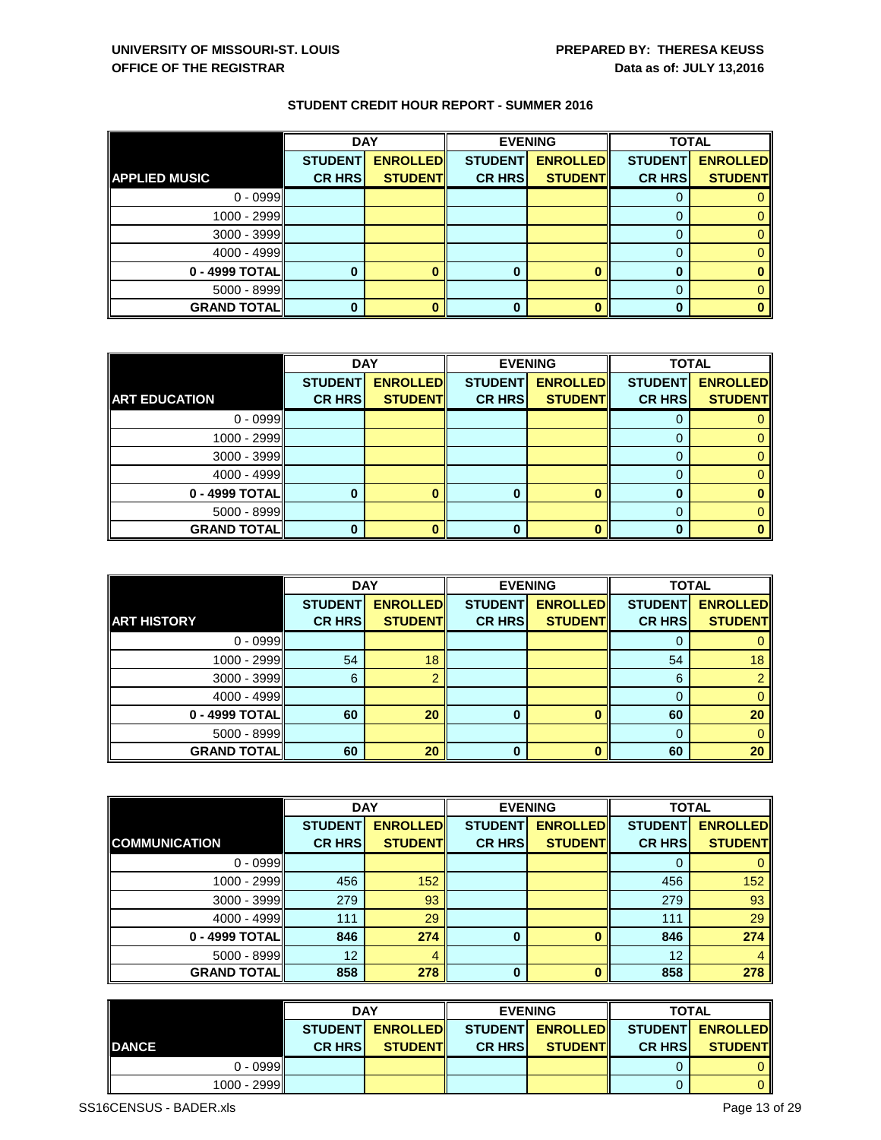|                      | <b>DAY</b>     |                 | <b>EVENING</b> |                 | <b>TOTAL</b>   |                 |
|----------------------|----------------|-----------------|----------------|-----------------|----------------|-----------------|
|                      | <b>STUDENT</b> | <b>ENROLLED</b> | <b>STUDENT</b> | <b>ENROLLED</b> | <b>STUDENT</b> | <b>ENROLLED</b> |
| <b>APPLIED MUSIC</b> | <b>CR HRS</b>  | <b>STUDENT</b>  | <b>CR HRS</b>  | <b>STUDENT</b>  | <b>CR HRS</b>  | <b>STUDENT</b>  |
| $0 - 0999$           |                |                 |                |                 | υ              |                 |
| 1000 - 2999          |                |                 |                |                 | O              |                 |
| $3000 - 3999$        |                |                 |                |                 | $\Gamma$       |                 |
| $4000 - 4999$        |                |                 |                |                 | 0              |                 |
| 0 - 4999 TOTAL       |                |                 | 0              |                 | 0              |                 |
| $5000 - 8999$        |                |                 |                |                 | O              |                 |
| <b>GRAND TOTAL</b>   |                |                 | 0              |                 |                |                 |

|                      | <b>DAY</b>     |                 |                | <b>EVENING</b>  | <b>TOTAL</b>   |                 |
|----------------------|----------------|-----------------|----------------|-----------------|----------------|-----------------|
|                      | <b>STUDENT</b> | <b>ENROLLED</b> | <b>STUDENT</b> | <b>ENROLLED</b> | <b>STUDENT</b> | <b>ENROLLED</b> |
| <b>ART EDUCATION</b> | <b>CR HRS</b>  | <b>STUDENT</b>  | <b>CR HRS</b>  | <b>STUDENT</b>  | <b>CR HRS</b>  | <b>STUDENT</b>  |
| $0 - 0999$           |                |                 |                |                 |                |                 |
| 1000 - 2999          |                |                 |                |                 |                |                 |
| $3000 - 3999$        |                |                 |                |                 |                |                 |
| 4000 - 4999          |                |                 |                |                 |                |                 |
| 0 - 4999 TOTAL       |                |                 | 0              |                 | O              |                 |
| $5000 - 8999$        |                |                 |                |                 |                |                 |
| <b>GRAND TOTAL</b>   |                |                 | U              |                 |                |                 |

|                    | <b>DAY</b>     |                 | <b>EVENING</b> |                 | <b>TOTAL</b>   |                 |
|--------------------|----------------|-----------------|----------------|-----------------|----------------|-----------------|
|                    | <b>STUDENT</b> | <b>ENROLLED</b> | <b>STUDENT</b> | <b>ENROLLED</b> | <b>STUDENT</b> | <b>ENROLLED</b> |
| <b>ART HISTORY</b> | <b>CR HRS</b>  | <b>STUDENT</b>  | <b>CR HRS</b>  | <b>STUDENT</b>  | <b>CR HRS</b>  | <b>STUDENT</b>  |
| $0 - 0999$         |                |                 |                |                 |                |                 |
| 1000 - 2999        | 54             | 18              |                |                 | 54             | 18              |
| $3000 - 3999$      | 6              |                 |                |                 | 6              | $\overline{2}$  |
| 4000 - 4999        |                |                 |                |                 |                | $\overline{0}$  |
| 0 - 4999 TOTAL     | 60             | 20              | $\bf{0}$       |                 | 60             | 20              |
| 5000 - 8999        |                |                 |                |                 | 0              | $\overline{0}$  |
| <b>GRAND TOTAL</b> | 60             | 20              | 0              |                 | 60             | 20              |

|                      | <b>DAY</b>     |                 |                | <b>EVENING</b>  | <b>TOTAL</b>   |                 |
|----------------------|----------------|-----------------|----------------|-----------------|----------------|-----------------|
|                      | <b>STUDENT</b> | <b>ENROLLED</b> | <b>STUDENT</b> | <b>ENROLLED</b> | <b>STUDENT</b> | <b>ENROLLED</b> |
| <b>COMMUNICATION</b> | <b>CR HRS</b>  | <b>STUDENT</b>  | <b>CR HRS</b>  | <b>STUDENT</b>  | <b>CR HRS</b>  | <b>STUDENT</b>  |
| $0 - 0999$           |                |                 |                |                 | 0              | 0               |
| 1000 - 2999          | 456            | 152             |                |                 | 456            | 152             |
| $3000 - 3999$        | 279            | 93              |                |                 | 279            | 93              |
| 4000 - 4999          | 111            | 29              |                |                 | 111            | 29              |
| 0 - 4999 TOTAL       | 846            | 274             | 0              |                 | 846            | 274             |
| $5000 - 8999$        | 12             |                 |                |                 | 12             | $\overline{4}$  |
| <b>GRAND TOTAL</b>   | 858            | 278             | $\Omega$       | ŋ               | 858            | 278             |

|               | <b>DAY</b>     |                  |               | <b>EVENING</b>   |                | <b>TOTAL</b>     |  |
|---------------|----------------|------------------|---------------|------------------|----------------|------------------|--|
|               |                | STUDENT ENROLLED |               | STUDENT ENROLLED |                | STUDENT ENROLLED |  |
| <b>IDANCE</b> | <b>CR HRSI</b> | <b>STUDENTI</b>  | <b>CR HRS</b> | <b>STUDENT</b>   | <b>CR HRSI</b> | <b>STUDENT</b>   |  |
| $0 - 0999$    |                |                  |               |                  |                |                  |  |
| 1000 - 2999   |                |                  |               |                  |                |                  |  |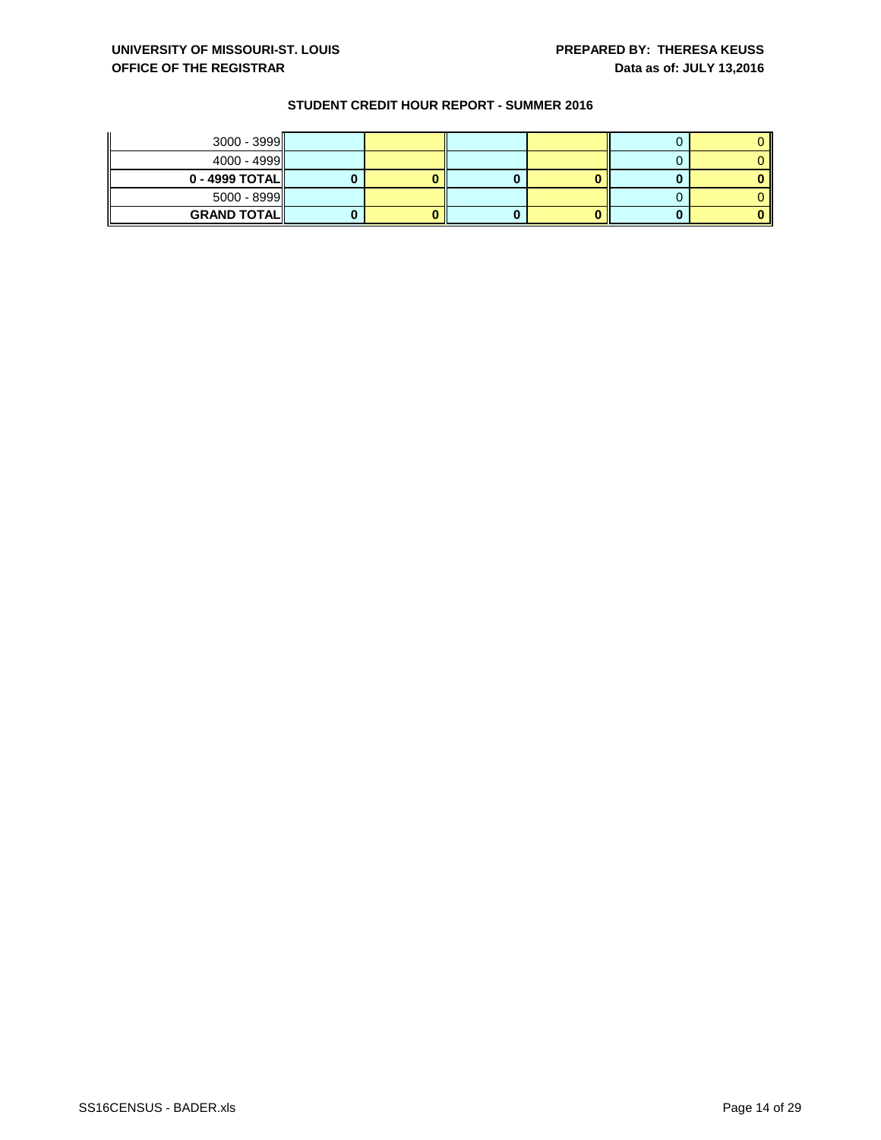| $3000 - 3999$       |  |  |  |
|---------------------|--|--|--|
| $4000 - 4999$       |  |  |  |
| $0 - 4999$ TOTAL    |  |  |  |
| $5000 - 8999$       |  |  |  |
| <b>GRAND TOTALI</b> |  |  |  |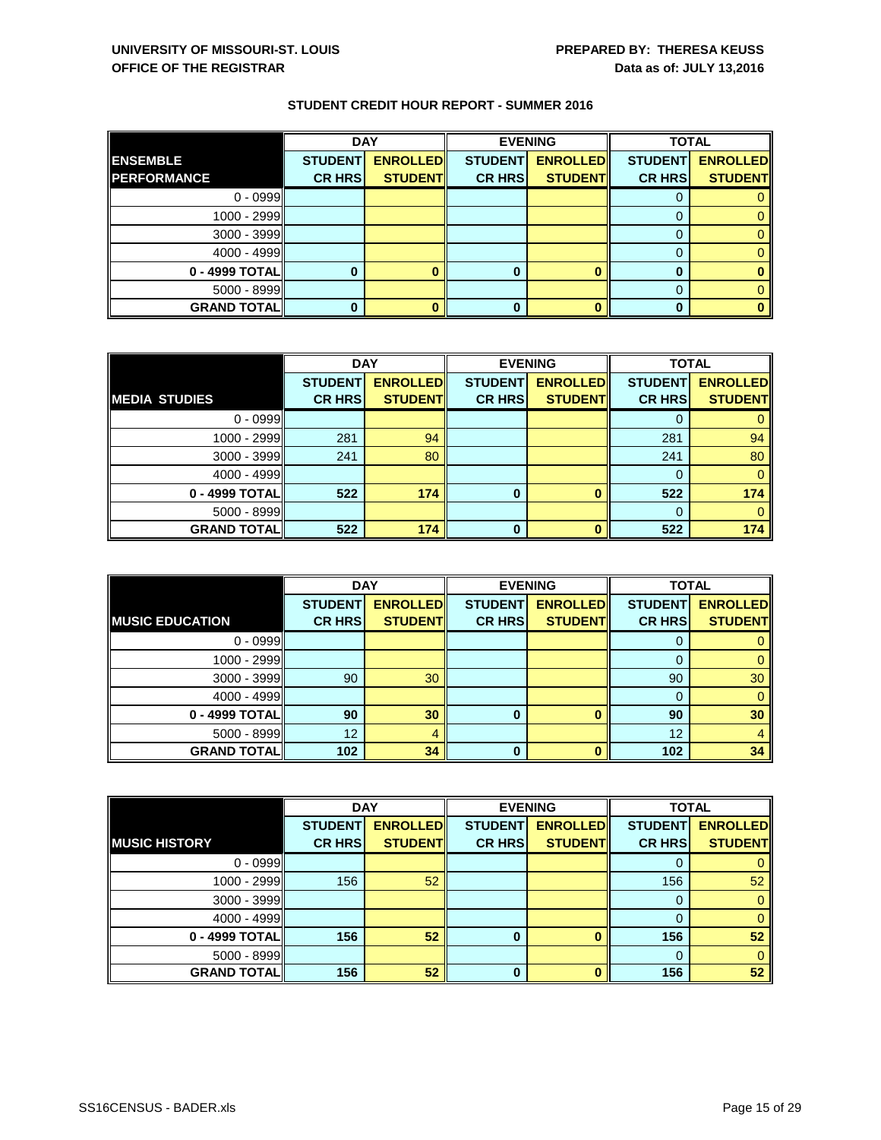|                    | <b>DAY</b>     |                 |                | <b>EVENING</b>  | <b>TOTAL</b>   |                 |
|--------------------|----------------|-----------------|----------------|-----------------|----------------|-----------------|
| <b>ENSEMBLE</b>    | <b>STUDENT</b> | <b>ENROLLED</b> | <b>STUDENT</b> | <b>ENROLLED</b> | <b>STUDENT</b> | <b>ENROLLED</b> |
| <b>PERFORMANCE</b> | <b>CR HRS</b>  | <b>STUDENT</b>  | <b>CR HRS</b>  | <b>STUDENT</b>  | <b>CR HRS</b>  | <b>STUDENT</b>  |
| $0 - 0999$         |                |                 |                |                 | U              |                 |
| 1000 - 2999        |                |                 |                |                 |                |                 |
| $3000 - 3999$      |                |                 |                |                 | 0              |                 |
| $4000 - 4999$      |                |                 |                |                 | 0              |                 |
| 0 - 4999 TOTAL     |                |                 |                |                 |                |                 |
| $5000 - 8999$      |                |                 |                |                 | $\Omega$       |                 |
| <b>GRAND TOTAL</b> |                |                 | 0              |                 | 0              |                 |

|                      | <b>DAY</b>     |                 |                | <b>EVENING</b>  | <b>TOTAL</b>   |                 |
|----------------------|----------------|-----------------|----------------|-----------------|----------------|-----------------|
|                      | <b>STUDENT</b> | <b>ENROLLED</b> | <b>STUDENT</b> | <b>ENROLLED</b> | <b>STUDENT</b> | <b>ENROLLED</b> |
| <b>MEDIA STUDIES</b> | <b>CR HRS</b>  | <b>STUDENT</b>  | <b>CR HRS</b>  | <b>STUDENT</b>  | <b>CR HRS</b>  | <b>STUDENT</b>  |
| $0 - 0999$           |                |                 |                |                 |                |                 |
| 1000 - 2999          | 281            | 94              |                |                 | 281            | 94              |
| $3000 - 3999$        | 241            | 80              |                |                 | 241            | 80              |
| 4000 - 4999          |                |                 |                |                 |                |                 |
| 0 - 4999 TOTAL       | 522            | 174             | $\bf{0}$       |                 | 522            | 174             |
| $5000 - 8999$        |                |                 |                |                 |                |                 |
| <b>GRAND TOTAL</b>   | 522            | 174             | 0              |                 | 522            | 174             |

|                        | <b>DAY</b>     |                 | <b>EVENING</b> |                 | <b>TOTAL</b>   |                 |
|------------------------|----------------|-----------------|----------------|-----------------|----------------|-----------------|
|                        | <b>STUDENT</b> | <b>ENROLLED</b> | <b>STUDENT</b> | <b>ENROLLED</b> | <b>STUDENT</b> | <b>ENROLLED</b> |
| <b>MUSIC EDUCATION</b> | <b>CR HRS</b>  | <b>STUDENT</b>  | <b>CR HRS</b>  | <b>STUDENT</b>  | <b>CR HRS</b>  | <b>STUDENT</b>  |
| $0 - 0999$             |                |                 |                |                 | 0              |                 |
| 1000 - 2999            |                |                 |                |                 | 0              | 0               |
| $3000 - 3999$          | 90             | 30              |                |                 | 90             | 30              |
| 4000 - 4999            |                |                 |                |                 | 0              |                 |
| 0 - 4999 TOTAL         | 90             | 30              | 0              | ŋ               | 90             | 30              |
| $5000 - 8999$          | 12             | 4               |                |                 | 12             | 4               |
| <b>GRAND TOTAL</b>     | 102            | 34              | 0              |                 | 102            | 34              |

|                      | <b>DAY</b>     |                 |                | <b>EVENING</b>  | <b>TOTAL</b>   |                 |
|----------------------|----------------|-----------------|----------------|-----------------|----------------|-----------------|
|                      | <b>STUDENT</b> | <b>ENROLLED</b> | <b>STUDENT</b> | <b>ENROLLED</b> | <b>STUDENT</b> | <b>ENROLLED</b> |
| <b>MUSIC HISTORY</b> | <b>CR HRS</b>  | <b>STUDENT</b>  | <b>CR HRS</b>  | <b>STUDENT</b>  | <b>CR HRS</b>  | <b>STUDENT</b>  |
| $0 - 0999$           |                |                 |                |                 |                | $\overline{0}$  |
| 1000 - 2999          | 156            | 52              |                |                 | 156            | 52              |
| $3000 - 3999$        |                |                 |                |                 | $\Omega$       | $\mathbf{0}$    |
| 4000 - 4999          |                |                 |                |                 |                | $\mathbf{0}$    |
| 0 - 4999 TOTAL       | 156            | 52              | $\bf{0}$       |                 | 156            | 52              |
| $5000 - 8999$        |                |                 |                |                 | 0              | $\mathbf{0}$    |
| <b>GRAND TOTAL</b>   | 156            | 52              | $\Omega$       |                 | 156            | 52              |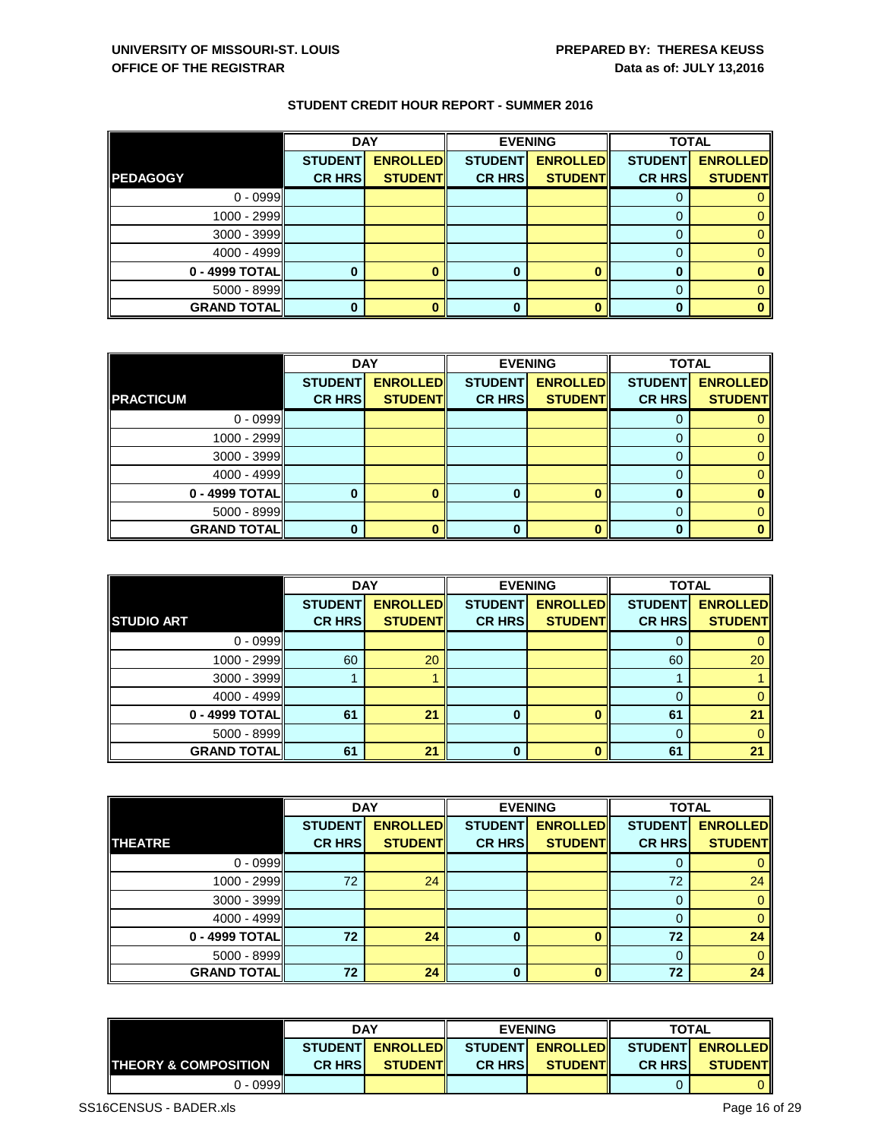|                    | <b>DAY</b>     |                 |                | <b>EVENING</b>  | <b>TOTAL</b>   |                 |
|--------------------|----------------|-----------------|----------------|-----------------|----------------|-----------------|
|                    | <b>STUDENT</b> | <b>ENROLLED</b> | <b>STUDENT</b> | <b>ENROLLED</b> | <b>STUDENT</b> | <b>ENROLLED</b> |
| <b>PEDAGOGY</b>    | <b>CR HRS</b>  | <b>STUDENT</b>  | <b>CR HRS</b>  | <b>STUDENT</b>  | <b>CR HRS</b>  | <b>STUDENT</b>  |
| $0 - 0999$         |                |                 |                |                 | υ              |                 |
| 1000 - 2999        |                |                 |                |                 |                |                 |
| $3000 - 3999$      |                |                 |                |                 | 0              |                 |
| 4000 - 4999        |                |                 |                |                 | O              |                 |
| 0 - 4999 TOTAL     |                |                 |                |                 |                |                 |
| $5000 - 8999$      |                |                 |                |                 | 0              |                 |
| <b>GRAND TOTAL</b> |                |                 |                |                 | 0              |                 |

|                      | <b>DAY</b>     |                 |                | <b>EVENING</b>  | <b>TOTAL</b>   |                 |
|----------------------|----------------|-----------------|----------------|-----------------|----------------|-----------------|
|                      | <b>STUDENT</b> | <b>ENROLLED</b> | <b>STUDENT</b> | <b>ENROLLED</b> | <b>STUDENT</b> | <b>ENROLLED</b> |
| <b>PRACTICUM</b>     | <b>CR HRS</b>  | <b>STUDENT</b>  | <b>CR HRS</b>  | <b>STUDENT</b>  | <b>CR HRS</b>  | <b>STUDENT</b>  |
| $0 - 0999$           |                |                 |                |                 |                |                 |
| 1000 - 2999          |                |                 |                |                 |                |                 |
| $3000 - 3999$        |                |                 |                |                 |                |                 |
| 4000 - 4999          |                |                 |                |                 |                |                 |
| 0 - 4999 TOTAL       |                |                 | 0              |                 | 0              |                 |
| $5000 - 8999$        |                |                 |                |                 |                |                 |
| <b>GRAND TOTAL  </b> |                |                 | U              |                 | n              |                 |

|                     | <b>DAY</b>     |                 | <b>EVENING</b> |                 | <b>TOTAL</b>   |                 |
|---------------------|----------------|-----------------|----------------|-----------------|----------------|-----------------|
|                     | <b>STUDENT</b> | <b>ENROLLED</b> | <b>STUDENT</b> | <b>ENROLLED</b> | <b>STUDENT</b> | <b>ENROLLED</b> |
| <b>STUDIO ART</b>   | <b>CR HRS</b>  | <b>STUDENT</b>  | <b>CR HRS</b>  | <b>STUDENT</b>  | <b>CR HRS</b>  | <b>STUDENT</b>  |
| $0 - 0999$          |                |                 |                |                 |                |                 |
| 1000 - 2999         | 60             | 20              |                |                 | 60             | 20              |
| $3000 - 3999$       |                |                 |                |                 |                |                 |
| $4000 - 4999$       |                |                 |                |                 |                |                 |
| 0 - 4999 TOTAL      | 61             | 21              | $\bf{0}$       |                 | 61             | 21              |
| $5000 - 8999$       |                |                 |                |                 | $\Omega$       | $\mathbf{0}$    |
| <b>GRAND TOTALI</b> | 61             | 21              | 0              |                 | 61             | 21              |

|                     | <b>DAY</b>     |                 |                | <b>EVENING</b>  | <b>TOTAL</b>   |                 |
|---------------------|----------------|-----------------|----------------|-----------------|----------------|-----------------|
|                     | <b>STUDENT</b> | <b>ENROLLED</b> | <b>STUDENT</b> | <b>ENROLLED</b> | <b>STUDENT</b> | <b>ENROLLED</b> |
| <b>THEATRE</b>      | <b>CR HRS</b>  | <b>STUDENT</b>  | <b>CR HRS</b>  | <b>STUDENT</b>  | <b>CR HRS</b>  | <b>STUDENT</b>  |
| $0 - 0999$          |                |                 |                |                 | O              | U               |
| 1000 - 2999         | 72             | 24              |                |                 | 72             | 24              |
| $3000 - 3999$       |                |                 |                |                 |                | $\overline{0}$  |
| 4000 - 4999         |                |                 |                |                 | 0              | $\mathbf{0}$    |
| 0 - 4999 TOTAL      | 72             | 24              | $\bf{0}$       |                 | 72             | 24              |
| $5000 - 8999$       |                |                 |                |                 | $\Omega$       | $\mathbf{0}$    |
| <b>GRAND TOTALI</b> | 72             | 24              | $\bf{0}$       |                 | 72             | 24              |

|                               | <b>DAY</b>      |                 |                                            | <b>EVENING</b>   | <b>TOTAL</b>   |                |
|-------------------------------|-----------------|-----------------|--------------------------------------------|------------------|----------------|----------------|
|                               | <b>STUDENTI</b> |                 | ENROLLED STUDENT ENROLLED STUDENT ENROLLED |                  |                |                |
| <b>I</b> THEORY & COMPOSITION | <b>CR HRSI</b>  | <b>STUDENTI</b> | <b>CR HRSI</b>                             | <b>STUDENTIL</b> | <b>CR HRSI</b> | <b>STUDENT</b> |
| $0 - 0999$                    |                 |                 |                                            |                  |                |                |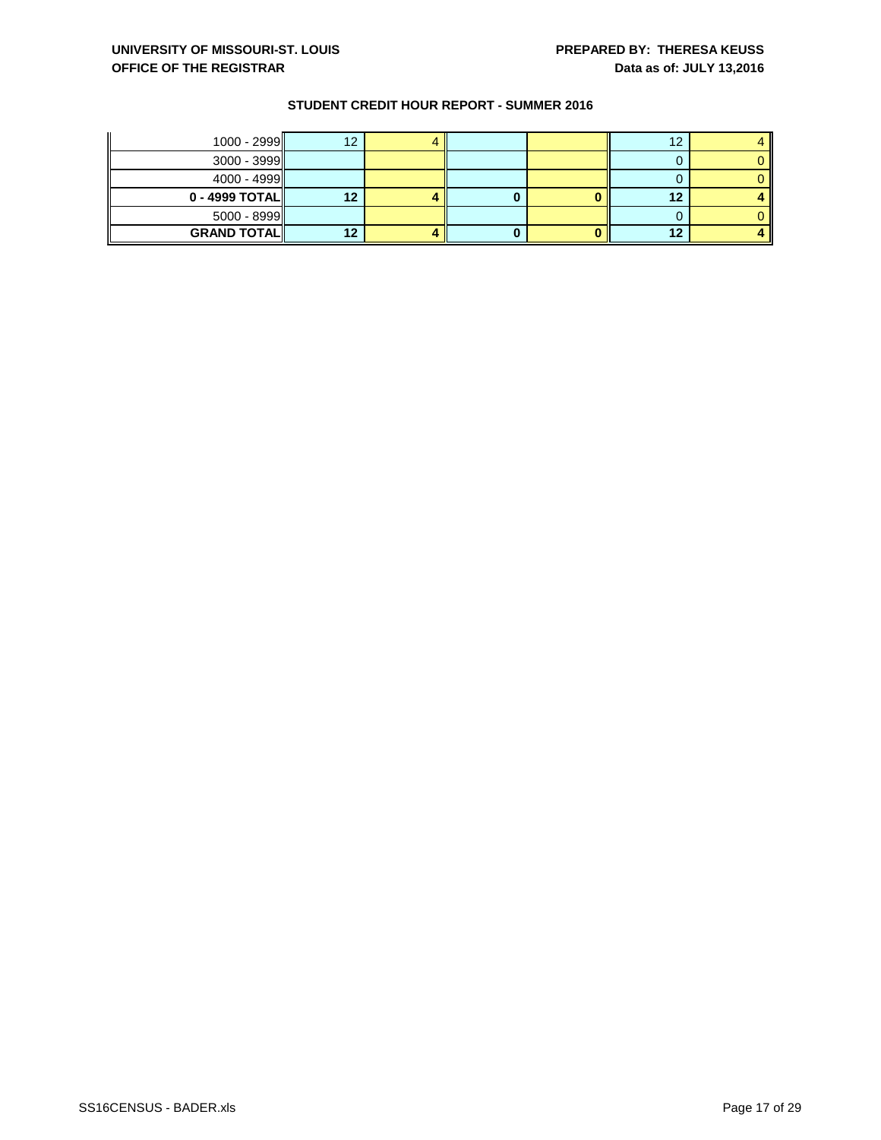| $1000 - 2999$      | 12 |  | 12 |  |
|--------------------|----|--|----|--|
| $3000 - 3999$      |    |  |    |  |
| $4000 - 4999$      |    |  |    |  |
| $0 - 4999$ TOTAL   |    |  | 12 |  |
| $5000 - 8999$      |    |  |    |  |
| <b>GRAND TOTAL</b> |    |  | 12 |  |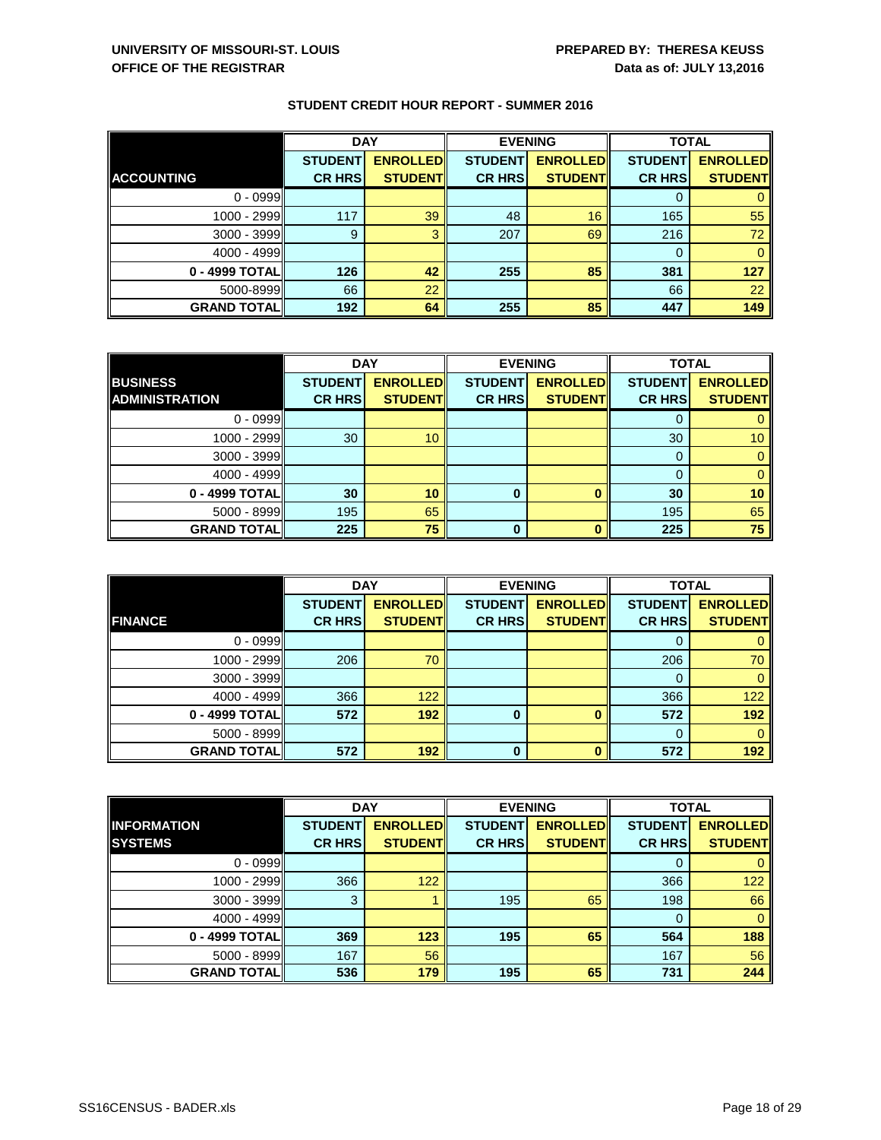|                      | <b>DAY</b>     |                 | <b>EVENING</b> |                 | <b>TOTAL</b>   |                 |
|----------------------|----------------|-----------------|----------------|-----------------|----------------|-----------------|
|                      | <b>STUDENT</b> | <b>ENROLLED</b> | <b>STUDENT</b> | <b>ENROLLED</b> | <b>STUDENT</b> | <b>ENROLLED</b> |
| <b>ACCOUNTING</b>    | <b>CR HRS</b>  | <b>STUDENT</b>  | <b>CR HRS</b>  | <b>STUDENT</b>  | <b>CR HRS</b>  | <b>STUDENT</b>  |
| $0 - 0999$           |                |                 |                |                 |                |                 |
| 1000 - 2999          | 117            | 39              | 48             | 16              | 165            | 55              |
| $3000 - 3999$        | 9              | 3               | 207            | 69              | 216            | 72              |
| $4000 - 4999$        |                |                 |                |                 | 0              |                 |
| 0 - 4999 TOTAL       | 126            | 42              | 255            | 85              | 381            | 127             |
| 5000-8999            | 66             | 22              |                |                 | 66             | 22              |
| <b>GRAND TOTAL  </b> | 192            | 64              | 255            | 85              | 447            | 149             |

|                       | <b>DAY</b>     |                 | <b>EVENING</b> |                 | <b>TOTAL</b>   |                 |
|-----------------------|----------------|-----------------|----------------|-----------------|----------------|-----------------|
| <b>BUSINESS</b>       | <b>STUDENT</b> | <b>ENROLLED</b> | <b>STUDENT</b> | <b>ENROLLED</b> | <b>STUDENT</b> | <b>ENROLLED</b> |
| <b>ADMINISTRATION</b> | <b>CR HRS</b>  | <b>STUDENT</b>  | <b>CR HRS</b>  | <b>STUDENT</b>  | <b>CR HRS</b>  | <b>STUDENT</b>  |
| $0 - 0999$            |                |                 |                |                 | O              |                 |
| 1000 - 2999           | 30             | 10              |                |                 | 30             | 10              |
| $3000 - 3999$         |                |                 |                |                 | 0              |                 |
| 4000 - 4999           |                |                 |                |                 | $\Omega$       |                 |
| 0 - 4999 TOTAL        | 30             | 10              | 0              |                 | 30             | 10              |
| $5000 - 8999$         | 195            | 65              |                |                 | 195            | 65              |
| <b>GRAND TOTAL  </b>  | 225            | 75              | 0              |                 | 225            | 75              |

|                     | <b>DAY</b>     |                 |                | <b>EVENING</b>  | <b>TOTAL</b>   |                 |
|---------------------|----------------|-----------------|----------------|-----------------|----------------|-----------------|
|                     | <b>STUDENT</b> | <b>ENROLLED</b> | <b>STUDENT</b> | <b>ENROLLED</b> | <b>STUDENT</b> | <b>ENROLLED</b> |
| <b>FINANCE</b>      | <b>CR HRS</b>  | <b>STUDENT</b>  | <b>CR HRS</b>  | <b>STUDENT</b>  | <b>CR HRS</b>  | <b>STUDENT</b>  |
| $0 - 0999$          |                |                 |                |                 |                |                 |
| 1000 - 2999         | 206            | 70              |                |                 | 206            | 70              |
| $3000 - 3999$       |                |                 |                |                 | 0              |                 |
| 4000 - 4999         | 366            | 122             |                |                 | 366            | 122             |
| 0 - 4999 TOTAL      | 572            | 192             | $\bf{0}$       |                 | 572            | 192             |
| $5000 - 8999$       |                |                 |                |                 | 0              |                 |
| <b>GRAND TOTALI</b> | 572            | 192             | 0              |                 | 572            | 192             |

|                    |                | <b>DAY</b>      | <b>EVENING</b> |                 | <b>TOTAL</b>   |                 |
|--------------------|----------------|-----------------|----------------|-----------------|----------------|-----------------|
| <b>INFORMATION</b> | <b>STUDENT</b> | <b>ENROLLED</b> | <b>STUDENT</b> | <b>ENROLLED</b> | <b>STUDENT</b> | <b>ENROLLED</b> |
| <b>SYSTEMS</b>     | <b>CR HRS</b>  | <b>STUDENT</b>  | <b>CR HRS</b>  | <b>STUDENT</b>  | <b>CR HRS</b>  | <b>STUDENT</b>  |
| $0 - 0999$         |                |                 |                |                 | O              | $\mathbf{0}$    |
| 1000 - 2999        | 366            | 122             |                |                 | 366            | 122             |
| $3000 - 3999$      | 3              |                 | 195            | 65              | 198            | 66              |
| $4000 - 4999$      |                |                 |                |                 | 0              | $\mathbf{0}$    |
| 0 - 4999 TOTAL     | 369            | 123             | 195            | 65              | 564            | 188             |
| $5000 - 8999$      | 167            | 56              |                |                 | 167            | 56              |
| <b>GRAND TOTAL</b> | 536            | 179             | 195            | 65              | 731            | 244             |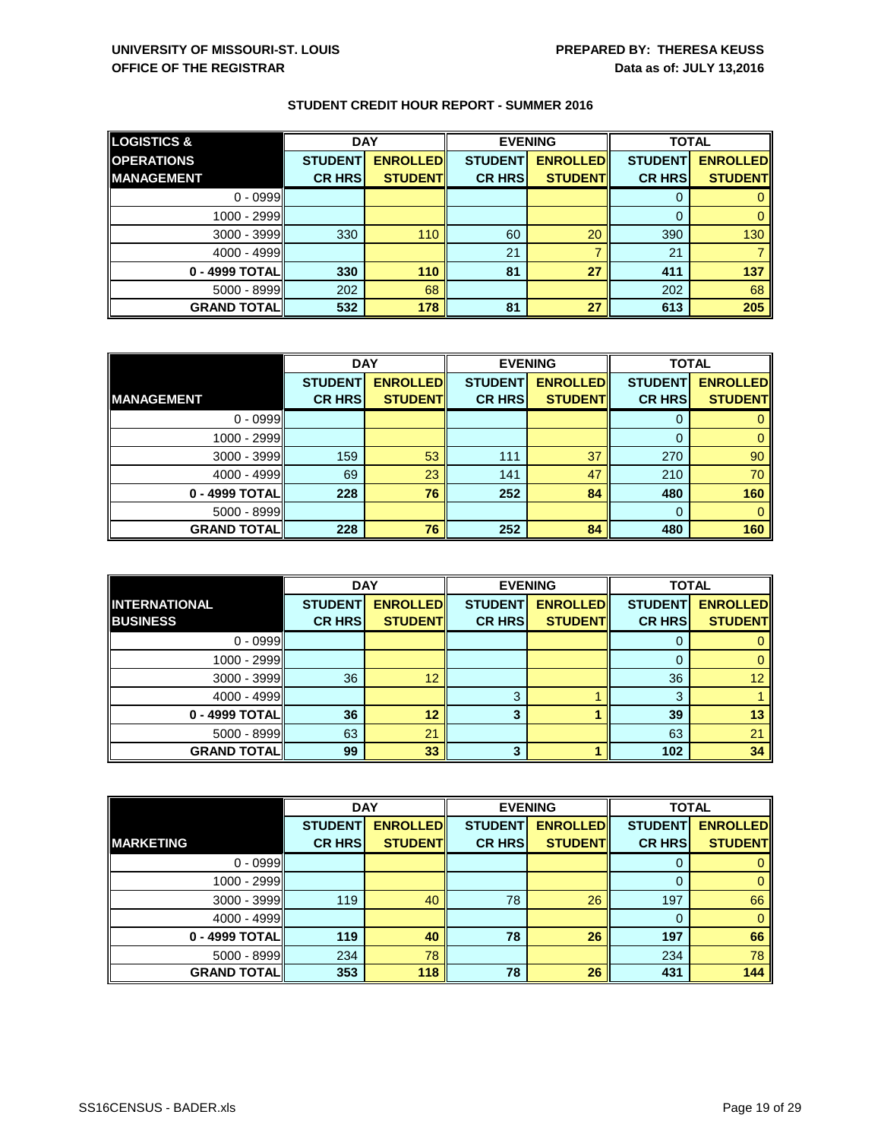| <b>LOGISTICS &amp;</b> | <b>DAY</b>     |                 |                | <b>EVENING</b>  | <b>TOTAL</b>   |                 |
|------------------------|----------------|-----------------|----------------|-----------------|----------------|-----------------|
| <b>OPERATIONS</b>      | <b>STUDENT</b> | <b>ENROLLED</b> | <b>STUDENT</b> | <b>ENROLLED</b> | <b>STUDENT</b> | <b>ENROLLED</b> |
| <b>MANAGEMENT</b>      | <b>CR HRS</b>  | <b>STUDENT</b>  | <b>CR HRS</b>  | <b>STUDENT</b>  | <b>CR HRS</b>  | <b>STUDENT</b>  |
| $0 - 0999$             |                |                 |                |                 |                |                 |
| 1000 - 2999            |                |                 |                |                 | 0              |                 |
| $3000 - 3999$          | 330            | 110             | 60             | 20              | 390            | 130             |
| 4000 - 4999            |                |                 | 21             |                 | 21             |                 |
| 0 - 4999 TOTAL         | 330            | 110             | 81             | 27              | 411            | 137             |
| $5000 - 8999$          | 202            | 68              |                |                 | 202            | 68              |
| <b>GRAND TOTAL</b>     | 532            | 178             | 81             | 27              | 613            | 205             |

|                    | <b>DAY</b>     |                 |                | <b>EVENING</b>  | <b>TOTAL</b>   |                 |
|--------------------|----------------|-----------------|----------------|-----------------|----------------|-----------------|
|                    | <b>STUDENT</b> | <b>ENROLLED</b> | <b>STUDENT</b> | <b>ENROLLED</b> | <b>STUDENT</b> | <b>ENROLLED</b> |
| <b>MANAGEMENT</b>  | <b>CR HRS</b>  | <b>STUDENT</b>  | <b>CR HRS</b>  | <b>STUDENT</b>  | <b>CR HRS</b>  | <b>STUDENT</b>  |
| $0 - 0999$         |                |                 |                |                 |                |                 |
| 1000 - 2999        |                |                 |                |                 | O              |                 |
| $3000 - 3999$      | 159            | 53              | 111            | 37              | 270            | 90              |
| 4000 - 4999        | 69             | 23              | 141            | 47              | 210            | 70              |
| 0 - 4999 TOTAL     | 228            | 76              | 252            | 84              | 480            | 160             |
| $5000 - 8999$      |                |                 |                |                 | 0              |                 |
| <b>GRAND TOTAL</b> | 228            | 76              | 252            | 84              | 480            | 160             |

|                      | <b>DAY</b>     |                 |                | <b>EVENING</b>  | <b>TOTAL</b>   |                 |
|----------------------|----------------|-----------------|----------------|-----------------|----------------|-----------------|
| <b>INTERNATIONAL</b> | <b>STUDENT</b> | <b>ENROLLED</b> | <b>STUDENT</b> | <b>ENROLLED</b> | <b>STUDENT</b> | <b>ENROLLED</b> |
| <b>BUSINESS</b>      | <b>CR HRS</b>  | <b>STUDENT</b>  | <b>CR HRS</b>  | <b>STUDENT</b>  | <b>CR HRS</b>  | <b>STUDENT</b>  |
| $0 - 0999$           |                |                 |                |                 | 0              |                 |
| 1000 - 2999          |                |                 |                |                 | 0              | 0               |
| 3000 - 3999          | 36             | 12              |                |                 | 36             | 12 <sup>2</sup> |
| 4000 - 4999          |                |                 | 3              |                 | 3              |                 |
| 0 - 4999 TOTAL       | 36             | 12              | 3              |                 | 39             | 13              |
| $5000 - 8999$        | 63             | 21              |                |                 | 63             | 21              |
| <b>GRAND TOTAL</b>   | 99             | 33              | 3              |                 | 102            | 34              |

|                      | <b>DAY</b>     |                 |                | <b>EVENING</b>  | <b>TOTAL</b>   |                 |
|----------------------|----------------|-----------------|----------------|-----------------|----------------|-----------------|
|                      | <b>STUDENT</b> | <b>ENROLLED</b> | <b>STUDENT</b> | <b>ENROLLED</b> | <b>STUDENT</b> | <b>ENROLLED</b> |
| <b>MARKETING</b>     | <b>CR HRS</b>  | <b>STUDENT</b>  | <b>CR HRS</b>  | <b>STUDENT</b>  | <b>CR HRS</b>  | <b>STUDENT</b>  |
| $0 - 0999$           |                |                 |                |                 | 0              | 0               |
| 1000 - 2999          |                |                 |                |                 | $\Omega$       | $\mathbf{0}$    |
| $3000 - 3999$        | 119            | 40              | 78             | 26              | 197            | 66              |
| 4000 - 4999          |                |                 |                |                 | 0              | $\mathbf{0}$    |
| 0 - 4999 TOTAL       | 119            | 40              | 78             | 26              | 197            | 66              |
| $5000 - 8999$        | 234            | 78              |                |                 | 234            | 78              |
| <b>GRAND TOTAL  </b> | 353            | 118             | 78             | 26              | 431            | 144             |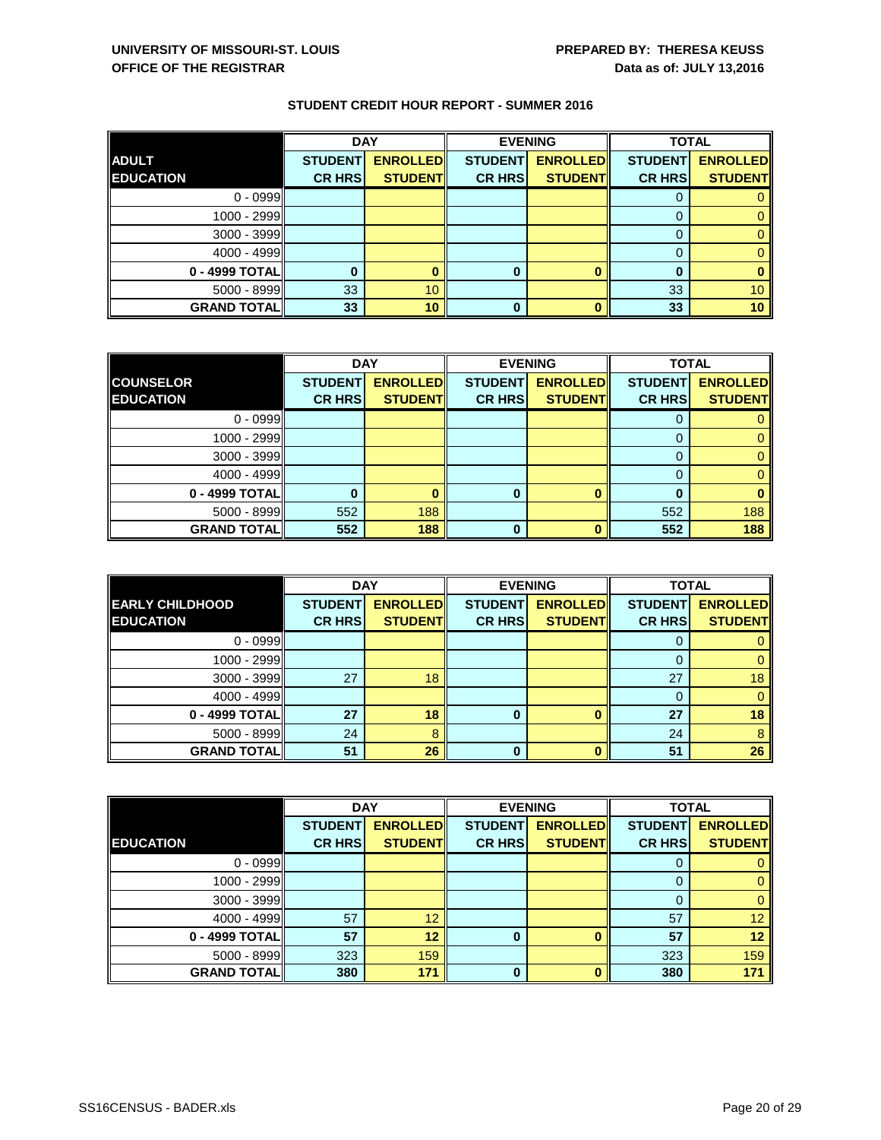|                    | <b>DAY</b>     |                 |                | <b>EVENING</b>  | <b>TOTAL</b>   |                 |
|--------------------|----------------|-----------------|----------------|-----------------|----------------|-----------------|
| <b>ADULT</b>       | <b>STUDENT</b> | <b>ENROLLED</b> | <b>STUDENT</b> | <b>ENROLLED</b> | <b>STUDENT</b> | <b>ENROLLED</b> |
| <b>EDUCATION</b>   | <b>CR HRS</b>  | <b>STUDENT</b>  | <b>CR HRS</b>  | <b>STUDENT</b>  | <b>CR HRS</b>  | <b>STUDENT</b>  |
| $0 - 0999$         |                |                 |                |                 |                |                 |
| 1000 - 2999        |                |                 |                |                 |                |                 |
| $3000 - 3999$      |                |                 |                |                 |                |                 |
| 4000 - 4999        |                |                 |                |                 | 0              |                 |
| 0 - 4999 TOTAL     |                |                 | 0              |                 | 0              |                 |
| $5000 - 8999$      | 33             | 10              |                |                 | 33             | 10 <sup>°</sup> |
| <b>GRAND TOTAL</b> | 33             | 10              | 0              |                 | 33             | 10              |

|                    | <b>DAY</b>     |                 |                | <b>EVENING</b>  | <b>TOTAL</b>   |                 |
|--------------------|----------------|-----------------|----------------|-----------------|----------------|-----------------|
| <b>COUNSELOR</b>   | <b>STUDENT</b> | <b>ENROLLED</b> | <b>STUDENT</b> | <b>ENROLLED</b> | <b>STUDENT</b> | <b>ENROLLED</b> |
| <b>EDUCATION</b>   | <b>CR HRS</b>  | <b>STUDENT</b>  | <b>CR HRS</b>  | <b>STUDENT</b>  | <b>CR HRS</b>  | <b>STUDENT</b>  |
| $0 - 0999$         |                |                 |                |                 | O              |                 |
| 1000 - 2999        |                |                 |                |                 | O              |                 |
| $3000 - 3999$      |                |                 |                |                 | 0              |                 |
| 4000 - 4999        |                |                 |                |                 | 0              |                 |
| 0 - 4999 TOTAL     |                |                 | 0              |                 | 0              |                 |
| $5000 - 8999$      | 552            | 188             |                |                 | 552            | 188             |
| <b>GRAND TOTAL</b> | 552            | 188             | $\Omega$       | n               | 552            | 188             |

|                        | <b>DAY</b>     |                 |                | <b>EVENING</b>  | <b>TOTAL</b>   |                 |
|------------------------|----------------|-----------------|----------------|-----------------|----------------|-----------------|
| <b>EARLY CHILDHOOD</b> | <b>STUDENT</b> | <b>ENROLLED</b> | <b>STUDENT</b> | <b>ENROLLED</b> | <b>STUDENT</b> | <b>ENROLLED</b> |
| <b>EDUCATION</b>       | <b>CR HRS</b>  | <b>STUDENT</b>  | <b>CR HRS</b>  | <b>STUDENT</b>  | <b>CR HRS</b>  | <b>STUDENT</b>  |
| $0 - 0999$             |                |                 |                |                 | 0              |                 |
| 1000 - 2999            |                |                 |                |                 | 0              |                 |
| $3000 - 3999$          | 27             | 18              |                |                 | 27             | 18              |
| 4000 - 4999            |                |                 |                |                 | 0              |                 |
| 0 - 4999 TOTAL         | 27             | 18              | 0              | ŋ               | 27             | 18              |
| $5000 - 8999$          | 24             | 8               |                |                 | 24             | 8               |
| <b>GRAND TOTAL</b>     | 51             | 26              | 0              |                 | 51             | 26              |

|                      | <b>DAY</b>     |                 |                | <b>EVENING</b>  | <b>TOTAL</b>   |                 |
|----------------------|----------------|-----------------|----------------|-----------------|----------------|-----------------|
|                      | <b>STUDENT</b> | <b>ENROLLED</b> | <b>STUDENT</b> | <b>ENROLLED</b> | <b>STUDENT</b> | <b>ENROLLED</b> |
| <b>EDUCATION</b>     | <b>CR HRS</b>  | <b>STUDENT</b>  | <b>CR HRS</b>  | <b>STUDENT</b>  | <b>CR HRS</b>  | <b>STUDENT</b>  |
| $0 - 0999$           |                |                 |                |                 | 0              |                 |
| 1000 - 2999          |                |                 |                |                 | 0              | 0               |
| $3000 - 3999$        |                |                 |                |                 | 0              | 0               |
| $4000 - 4999$        | 57             | 12              |                |                 | 57             | 12 <sub>2</sub> |
| 0 - 4999 TOTAL       | 57             | 12              | $\bf{0}$       |                 | 57             | 12              |
| $5000 - 8999$        | 323            | 159             |                |                 | 323            | 159             |
| <b>GRAND TOTAL  </b> | 380            | 171             | $\bf{0}$       |                 | 380            | 171             |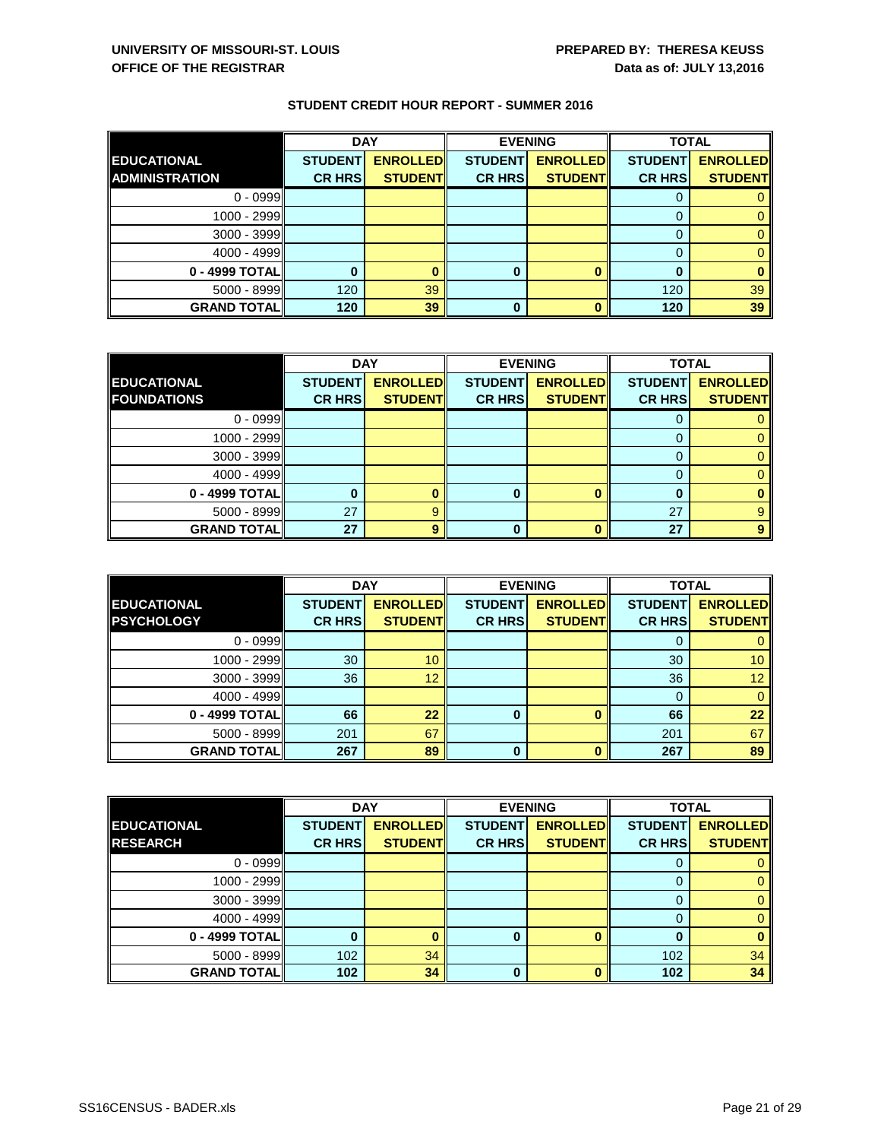|                       | <b>DAY</b>     |                 |                | <b>EVENING</b>  | <b>TOTAL</b>   |                 |
|-----------------------|----------------|-----------------|----------------|-----------------|----------------|-----------------|
| <b>EDUCATIONAL</b>    | <b>STUDENT</b> | <b>ENROLLED</b> | <b>STUDENT</b> | <b>ENROLLED</b> | <b>STUDENT</b> | <b>ENROLLED</b> |
| <b>ADMINISTRATION</b> | <b>CR HRS</b>  | <b>STUDENT</b>  | <b>CR HRS</b>  | <b>STUDENT</b>  | <b>CR HRS</b>  | <b>STUDENT</b>  |
| $0 - 0999$            |                |                 |                |                 |                |                 |
| 1000 - 2999           |                |                 |                |                 |                |                 |
| $3000 - 3999$         |                |                 |                |                 |                |                 |
| 4000 - 4999           |                |                 |                |                 |                |                 |
| 0 - 4999 TOTAL        |                |                 | 0              |                 | 0              |                 |
| $5000 - 8999$         | 120            | 39              |                |                 | 120            | 39              |
| <b>GRAND TOTAL</b>    | 120            | 39              | 0              |                 | 120            | 39              |

|                    | <b>DAY</b>     |                 |                | <b>EVENING</b>  | <b>TOTAL</b>   |                 |
|--------------------|----------------|-----------------|----------------|-----------------|----------------|-----------------|
| <b>EDUCATIONAL</b> | <b>STUDENT</b> | <b>ENROLLED</b> | <b>STUDENT</b> | <b>ENROLLED</b> | <b>STUDENT</b> | <b>ENROLLED</b> |
| <b>FOUNDATIONS</b> | <b>CR HRS</b>  | <b>STUDENT</b>  | <b>CR HRS</b>  | <b>STUDENT</b>  | <b>CR HRS</b>  | <b>STUDENT</b>  |
| $0 - 0999$         |                |                 |                |                 |                |                 |
| 1000 - 2999        |                |                 |                |                 | O              |                 |
| $3000 - 3999$      |                |                 |                |                 | 0              |                 |
| 4000 - 4999        |                |                 |                |                 | 0              |                 |
| 0 - 4999 TOTAL     |                |                 | 0              |                 | 0              |                 |
| $5000 - 8999$      | 27             | 9               |                |                 | 27             |                 |
| <b>GRAND TOTAL</b> | 27             | $\mathbf Q$     | U              |                 | 27             | $\mathbf o$     |

|                    | <b>DAY</b>     |                 |                | <b>EVENING</b>  | <b>TOTAL</b>   |                 |
|--------------------|----------------|-----------------|----------------|-----------------|----------------|-----------------|
| <b>EDUCATIONAL</b> | <b>STUDENT</b> | <b>ENROLLED</b> | <b>STUDENT</b> | <b>ENROLLED</b> | <b>STUDENT</b> | <b>ENROLLED</b> |
| <b>PSYCHOLOGY</b>  | <b>CR HRS</b>  | <b>STUDENT</b>  | <b>CR HRS</b>  | <b>STUDENT</b>  | <b>CR HRS</b>  | <b>STUDENT</b>  |
| $0 - 0999$         |                |                 |                |                 | 0              |                 |
| 1000 - 2999        | 30             | 10              |                |                 | 30             | 10              |
| 3000 - 3999        | 36             | 12              |                |                 | 36             | 12 <sub>2</sub> |
| 4000 - 4999        |                |                 |                |                 | 0              | $\overline{0}$  |
| 0 - 4999 TOTAL     | 66             | 22              | $\bf{0}$       | ŋ               | 66             | 22              |
| $5000 - 8999$      | 201            | 67              |                |                 | 201            | 67              |
| <b>GRAND TOTAL</b> | 267            | 89              | 0              |                 | 267            | 89              |

|                    | <b>DAY</b>     |                 |                | <b>EVENING</b>  | <b>TOTAL</b>   |                 |
|--------------------|----------------|-----------------|----------------|-----------------|----------------|-----------------|
| <b>EDUCATIONAL</b> | <b>STUDENT</b> | <b>ENROLLED</b> | <b>STUDENT</b> | <b>ENROLLED</b> | <b>STUDENT</b> | <b>ENROLLED</b> |
| <b>RESEARCH</b>    | <b>CR HRS</b>  | <b>STUDENT</b>  | <b>CR HRS</b>  | <b>STUDENT</b>  | <b>CR HRS</b>  | <b>STUDENT</b>  |
| $0 - 0999$         |                |                 |                |                 | O              |                 |
| 1000 - 2999        |                |                 |                |                 | O              |                 |
| $3000 - 3999$      |                |                 |                |                 | $\Omega$       |                 |
| 4000 - 4999        |                |                 |                |                 |                |                 |
| 0 - 4999 TOTAL     |                |                 | 0              |                 | 0              |                 |
| 5000 - 8999        | 102            | 34              |                |                 | 102            | 34              |
| <b>GRAND TOTAL</b> | 102            | 34              | $\bf{0}$       |                 | 102            | 34              |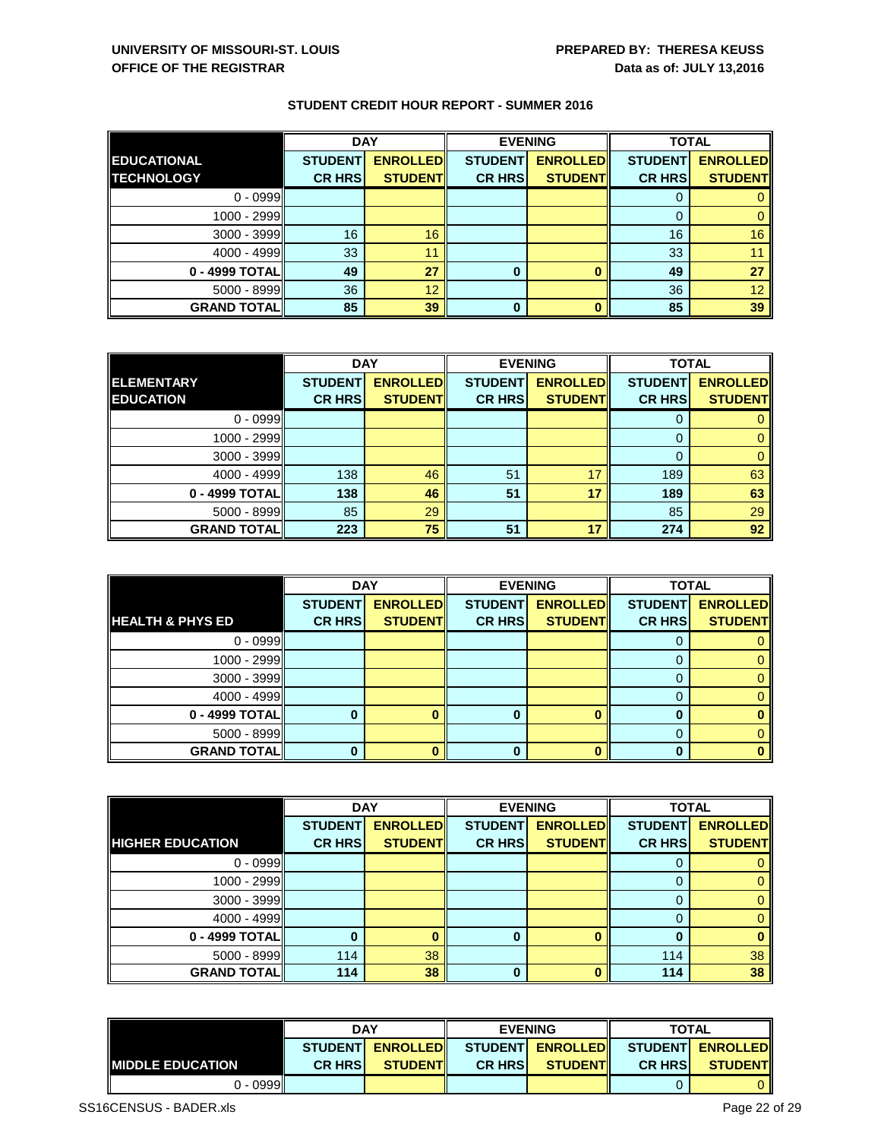|                    | <b>DAY</b>     |                 | <b>EVENING</b> |                 | <b>TOTAL</b>   |                 |
|--------------------|----------------|-----------------|----------------|-----------------|----------------|-----------------|
| <b>EDUCATIONAL</b> | <b>STUDENT</b> | <b>ENROLLED</b> | <b>STUDENT</b> | <b>ENROLLED</b> | <b>STUDENT</b> | <b>ENROLLED</b> |
| <b>TECHNOLOGY</b>  | <b>CR HRS</b>  | <b>STUDENT</b>  | <b>CR HRS</b>  | <b>STUDENT</b>  | <b>CR HRS</b>  | <b>STUDENT</b>  |
| $0 - 0999$         |                |                 |                |                 | υ              |                 |
| 1000 - 2999        |                |                 |                |                 | O              |                 |
| $3000 - 3999$      | 16             | 16              |                |                 | 16             | 16              |
| 4000 - 4999        | 33             | 11              |                |                 | 33             |                 |
| 0 - 4999 TOTAL     | 49             | 27              | 0              |                 | 49             | 27              |
| $5000 - 8999$      | 36             | 12              |                |                 | 36             | 12              |
| <b>GRAND TOTAL</b> | 85             | 39              | $\bf{0}$       |                 | 85             | 39              |

|                    | <b>DAY</b>     |                 |                | <b>EVENING</b>  | <b>TOTAL</b>   |                 |
|--------------------|----------------|-----------------|----------------|-----------------|----------------|-----------------|
| <b>ELEMENTARY</b>  | <b>STUDENT</b> | <b>ENROLLED</b> | <b>STUDENT</b> | <b>ENROLLED</b> | <b>STUDENT</b> | <b>ENROLLED</b> |
| <b>EDUCATION</b>   | <b>CR HRS</b>  | <b>STUDENT</b>  | <b>CR HRS</b>  | <b>STUDENT</b>  | <b>CR HRS</b>  | <b>STUDENT</b>  |
| $0 - 0999$         |                |                 |                |                 |                |                 |
| 1000 - 2999        |                |                 |                |                 |                |                 |
| $3000 - 3999$      |                |                 |                |                 | 0              |                 |
| 4000 - 4999        | 138            | 46              | 51             | 17              | 189            | 63              |
| 0 - 4999 TOTAL     | 138            | 46              | 51             | 17              | 189            | 63              |
| $5000 - 8999$      | 85             | 29              |                |                 | 85             | 29              |
| <b>GRAND TOTAL</b> | 223            | 75              | 51             | 17              | 274            | 92              |

|                             | <b>DAY</b>     |                 | <b>EVENING</b> |                 | <b>TOTAL</b>   |                 |
|-----------------------------|----------------|-----------------|----------------|-----------------|----------------|-----------------|
|                             | <b>STUDENT</b> | <b>ENROLLED</b> | <b>STUDENT</b> | <b>ENROLLED</b> | <b>STUDENT</b> | <b>ENROLLED</b> |
| <b>HEALTH &amp; PHYS ED</b> | <b>CR HRS</b>  | <b>STUDENT</b>  | <b>CR HRS</b>  | <b>STUDENT</b>  | <b>CR HRS</b>  | <b>STUDENT</b>  |
| $0 - 0999$                  |                |                 |                |                 |                |                 |
| 1000 - 2999                 |                |                 |                |                 |                |                 |
| $3000 - 3999$               |                |                 |                |                 |                |                 |
| 4000 - 4999                 |                |                 |                |                 |                |                 |
| 0 - 4999 TOTAL              |                |                 | $\bf{0}$       |                 |                | 0               |
| $5000 - 8999$               |                |                 |                |                 |                |                 |
| <b>GRAND TOTALI</b>         |                |                 | 0              |                 |                | 0               |

|                         | <b>DAY</b>     |                 |                | <b>EVENING</b>  | <b>TOTAL</b>   |                 |
|-------------------------|----------------|-----------------|----------------|-----------------|----------------|-----------------|
|                         | <b>STUDENT</b> | <b>ENROLLED</b> | <b>STUDENT</b> | <b>ENROLLED</b> | <b>STUDENT</b> | <b>ENROLLED</b> |
| <b>HIGHER EDUCATION</b> | <b>CR HRS</b>  | <b>STUDENT</b>  | <b>CR HRS</b>  | <b>STUDENT</b>  | <b>CR HRS</b>  | <b>STUDENT</b>  |
| $0 - 0999$              |                |                 |                |                 |                |                 |
| 1000 - 2999             |                |                 |                |                 |                | 0               |
| $3000 - 3999$           |                |                 |                |                 |                | $\overline{0}$  |
| 4000 - 4999             |                |                 |                |                 |                | $\mathbf{0}$    |
| 0 - 4999 TOTAL          |                |                 | 0              |                 |                | $\bf{0}$        |
| $5000 - 8999$           | 114            | 38              |                |                 | 114            | 38              |
| <b>GRAND TOTALI</b>     | 114            | 38              | $\Omega$       |                 | 114            | 38              |

|                          | <b>DAY</b>      |                 | <b>EVENING</b> |                 | <b>TOTAL</b>                      |                |
|--------------------------|-----------------|-----------------|----------------|-----------------|-----------------------------------|----------------|
|                          | <b>STUDENTI</b> | <b>ENROLLED</b> |                |                 | STUDENT ENROLLED STUDENT ENROLLED |                |
| <b>IMIDDLE EDUCATION</b> | <b>CR HRSI</b>  | <b>STUDENTI</b> | <b>CR HRSI</b> | <b>STUDENTI</b> | <b>CR HRSI</b>                    | <b>STUDENT</b> |
| 0 - 0999                 |                 |                 |                |                 |                                   |                |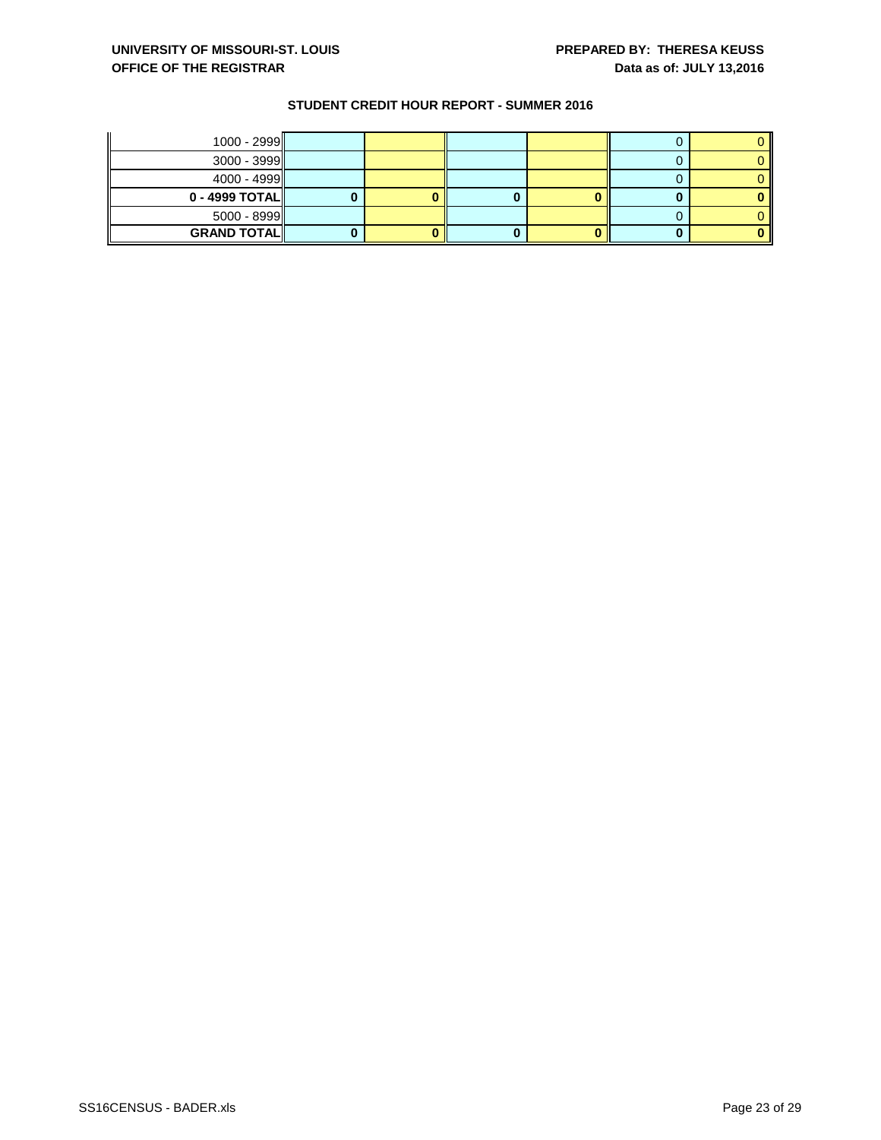| $1000 - 2999$      |  |  |  |
|--------------------|--|--|--|
| $3000 - 3999$      |  |  |  |
| $4000 - 4999$      |  |  |  |
| $0 - 4999$ TOTAL   |  |  |  |
| $5000 - 8999$      |  |  |  |
| <b>GRAND TOTAL</b> |  |  |  |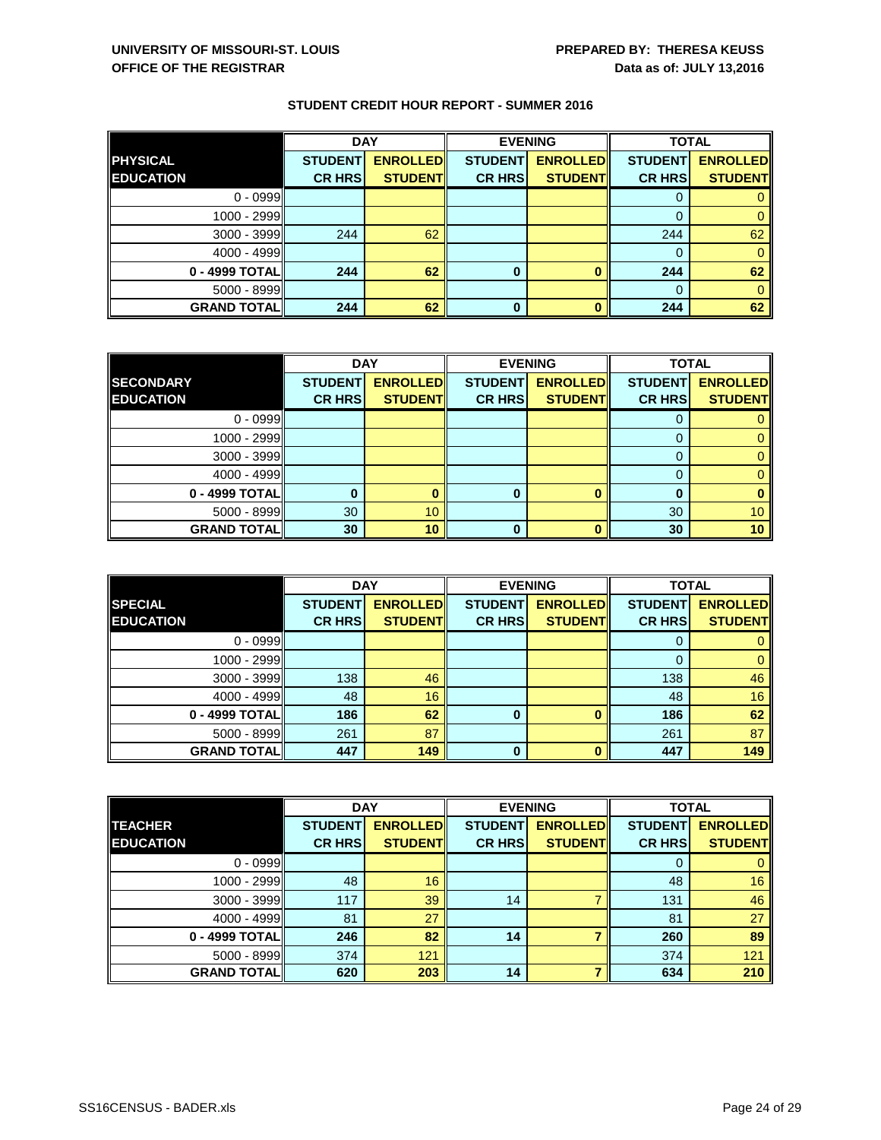|                    | <b>DAY</b>     |                 |                | <b>EVENING</b>  | <b>TOTAL</b>   |                 |
|--------------------|----------------|-----------------|----------------|-----------------|----------------|-----------------|
| <b>PHYSICAL</b>    | <b>STUDENT</b> | <b>ENROLLED</b> | <b>STUDENT</b> | <b>ENROLLED</b> | <b>STUDENT</b> | <b>ENROLLED</b> |
| <b>EDUCATION</b>   | <b>CR HRS</b>  | <b>STUDENT</b>  | <b>CR HRS</b>  | <b>STUDENT</b>  | <b>CR HRS</b>  | <b>STUDENT</b>  |
| $0 - 0999$         |                |                 |                |                 |                |                 |
| 1000 - 2999        |                |                 |                |                 |                |                 |
| $3000 - 3999$      | 244            | 62              |                |                 | 244            | 62              |
| 4000 - 4999        |                |                 |                |                 | $\Omega$       |                 |
| 0 - 4999 TOTAL     | 244            | 62              | 0              |                 | 244            | 62              |
| $5000 - 8999$      |                |                 |                |                 | $\Omega$       |                 |
| <b>GRAND TOTAL</b> | 244            | 62              | 0              |                 | 244            | 62              |

|                    | <b>DAY</b>     |                 |                | <b>EVENING</b>  | <b>TOTAL</b>   |                 |
|--------------------|----------------|-----------------|----------------|-----------------|----------------|-----------------|
| <b>SECONDARY</b>   | <b>STUDENT</b> | <b>ENROLLED</b> | <b>STUDENT</b> | <b>ENROLLED</b> | <b>STUDENT</b> | <b>ENROLLED</b> |
| <b>EDUCATION</b>   | <b>CR HRS</b>  | <b>STUDENT</b>  | <b>CR HRS</b>  | <b>STUDENT</b>  | <b>CR HRS</b>  | <b>STUDENT</b>  |
| $0 - 0999$         |                |                 |                |                 |                |                 |
| 1000 - 2999        |                |                 |                |                 |                |                 |
| $3000 - 3999$      |                |                 |                |                 |                |                 |
| 4000 - 4999        |                |                 |                |                 |                |                 |
| 0 - 4999 TOTAL     |                |                 | 0              |                 | 0              |                 |
| $5000 - 8999$      | 30             | 10              |                |                 | 30             | 10 <sup>°</sup> |
| <b>GRAND TOTAL</b> | 30             | 10              | 0              |                 | 30             | 10 <sup>1</sup> |

|                    | <b>DAY</b>     |                 |                | <b>EVENING</b>  | <b>TOTAL</b>   |                 |
|--------------------|----------------|-----------------|----------------|-----------------|----------------|-----------------|
| <b>SPECIAL</b>     | <b>STUDENT</b> | <b>ENROLLED</b> | <b>STUDENT</b> | <b>ENROLLED</b> | <b>STUDENT</b> | <b>ENROLLED</b> |
| <b>EDUCATION</b>   | <b>CR HRS</b>  | <b>STUDENT</b>  | <b>CR HRS</b>  | <b>STUDENT</b>  | <b>CR HRS</b>  | <b>STUDENT</b>  |
| $0 - 0999$         |                |                 |                |                 | 0              |                 |
| 1000 - 2999        |                |                 |                |                 | 0              | 0               |
| $3000 - 3999$      | 138            | 46              |                |                 | 138            | 46              |
| 4000 - 4999        | 48             | 16              |                |                 | 48             | 16              |
| 0 - 4999 TOTAL     | 186            | 62              | 0              | ŋ               | 186            | 62              |
| $5000 - 8999$      | 261            | 87              |                |                 | 261            | 87              |
| <b>GRAND TOTAL</b> | 447            | 149             | 0              | Λ               | 447            | 149             |

|                      | <b>DAY</b>     |                 | <b>EVENING</b> |                 | <b>TOTAL</b>   |                 |
|----------------------|----------------|-----------------|----------------|-----------------|----------------|-----------------|
| <b>TEACHER</b>       | <b>STUDENT</b> | <b>ENROLLED</b> | <b>STUDENT</b> | <b>ENROLLED</b> | <b>STUDENT</b> | <b>ENROLLED</b> |
| <b>EDUCATION</b>     | <b>CR HRS</b>  | <b>STUDENT</b>  | <b>CR HRS</b>  | <b>STUDENT</b>  | <b>CR HRS</b>  | <b>STUDENT</b>  |
| $0 - 0999$           |                |                 |                |                 | 0              |                 |
| 1000 - 2999          | 48             | 16              |                |                 | 48             | 16              |
| $3000 - 3999$        | 117            | 39              | 14             |                 | 131            | 46              |
| $4000 - 4999$        | 81             | 27              |                |                 | 81             | 27              |
| 0 - 4999 TOTAL       | 246            | 82              | 14             |                 | 260            | 89              |
| $5000 - 8999$        | 374            | 121             |                |                 | 374            | 121             |
| <b>GRAND TOTAL  </b> | 620            | 203             | 14             |                 | 634            | 210             |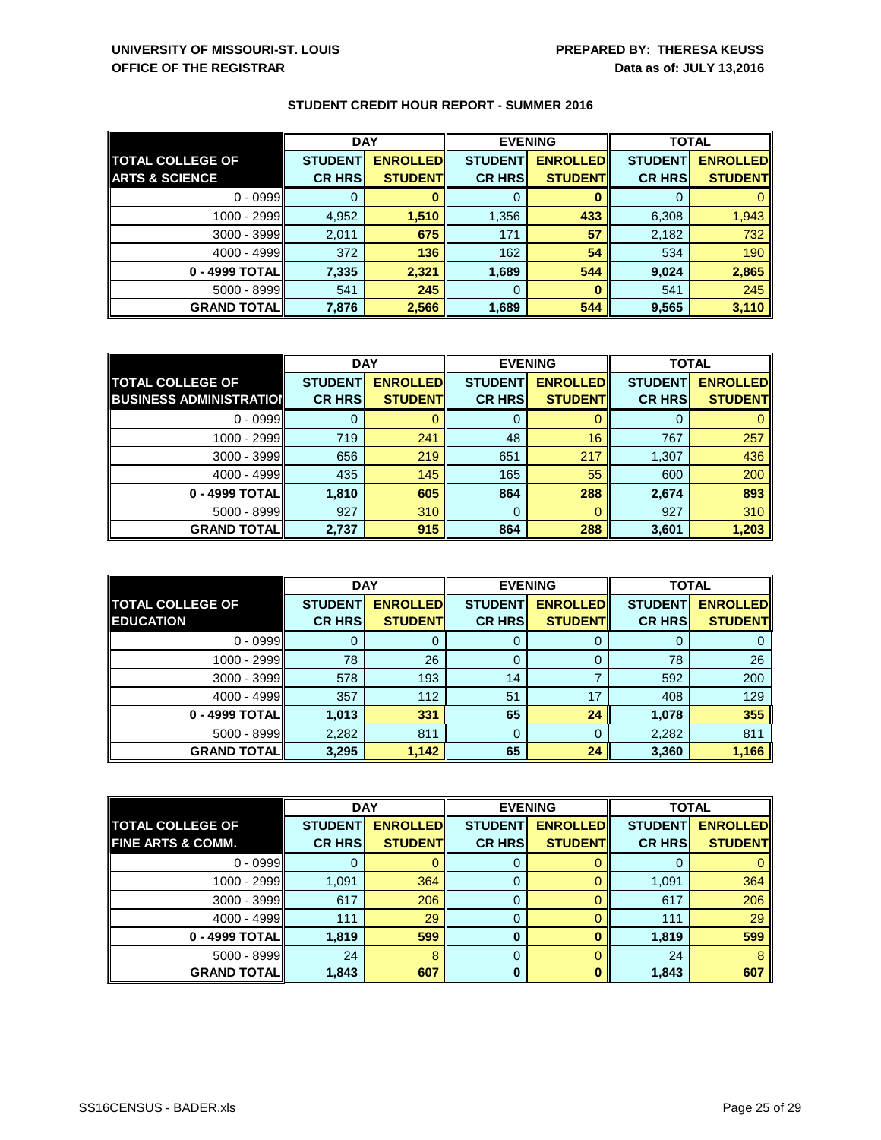|                           | <b>DAY</b>     |                 |                | <b>EVENING</b>  | <b>TOTAL</b>   |                 |
|---------------------------|----------------|-----------------|----------------|-----------------|----------------|-----------------|
| <b>TOTAL COLLEGE OF</b>   | <b>STUDENT</b> | <b>ENROLLED</b> | <b>STUDENT</b> | <b>ENROLLED</b> | <b>STUDENT</b> | <b>ENROLLED</b> |
| <b>ARTS &amp; SCIENCE</b> | <b>CR HRS</b>  | <b>STUDENT</b>  | <b>CR HRS</b>  | <b>STUDENT</b>  | <b>CR HRS</b>  | <b>STUDENT</b>  |
| $0 - 0999$                |                |                 |                |                 |                |                 |
| 1000 - 2999               | 4,952          | 1,510           | 1,356          | 433             | 6,308          | 1,943           |
| $3000 - 3999$             | 2,011          | 675             | 171            | 57              | 2,182          | 732             |
| 4000 - 4999               | 372            | 136             | 162            | 54              | 534            | 190             |
| 0 - 4999 TOTAL            | 7,335          | 2,321           | 1,689          | 544             | 9,024          | 2,865           |
| $5000 - 8999$             | 541            | 245             | 0              |                 | 541            | 245             |
| <b>GRAND TOTAL</b>        | 7,876          | 2,566           | 1,689          | 544             | 9,565          | 3,110           |

|                                | <b>DAY</b>     |                 | <b>EVENING</b> |                 | <b>TOTAL</b>   |                 |
|--------------------------------|----------------|-----------------|----------------|-----------------|----------------|-----------------|
| <b>TOTAL COLLEGE OF</b>        | <b>STUDENT</b> | <b>ENROLLED</b> | <b>STUDENT</b> | <b>ENROLLED</b> | <b>STUDENT</b> | <b>ENROLLED</b> |
| <b>BUSINESS ADMINISTRATION</b> | <b>CR HRS</b>  | <b>STUDENT</b>  | <b>CR HRS</b>  | <b>STUDENT</b>  | <b>CR HRS</b>  | <b>STUDENT</b>  |
| $0 - 0999$                     |                |                 | 0              |                 |                |                 |
| 1000 - 2999                    | 719            | 241             | 48             | 16              | 767            | 257             |
| $3000 - 3999$                  | 656            | 219             | 651            | 217             | 1,307          | 436             |
| $4000 - 4999$                  | 435            | 145             | 165            | 55              | 600            | 200             |
| 0 - 4999 TOTAL                 | 1,810          | 605             | 864            | 288             | 2,674          | 893             |
| $5000 - 8999$                  | 927            | 310             | 0              |                 | 927            | 310             |
| <b>GRAND TOTAL</b>             | 2,737          | 915             | 864            | 288             | 3,601          | 1,203           |

|                         | <b>DAY</b>     |                 |                | <b>EVENING</b>  |                | <b>TOTAL</b>    |  |
|-------------------------|----------------|-----------------|----------------|-----------------|----------------|-----------------|--|
| <b>TOTAL COLLEGE OF</b> | <b>STUDENT</b> | <b>ENROLLED</b> | <b>STUDENT</b> | <b>ENROLLED</b> | <b>STUDENT</b> | <b>ENROLLED</b> |  |
| <b>EDUCATION</b>        | <b>CR HRS</b>  | <b>STUDENT</b>  | <b>CR HRS</b>  | <b>STUDENT</b>  | <b>CR HRS</b>  | <b>STUDENT</b>  |  |
| $0 - 0999$              |                |                 | 0              |                 |                |                 |  |
| 1000 - 2999             | 78             | 26              | 0              |                 | 78             | 26              |  |
| $3000 - 3999$           | 578            | 193             | 14             |                 | 592            | 200             |  |
| $4000 - 4999$           | 357            | 112             | 51             | 17              | 408            | 129             |  |
| 0 - 4999 TOTAL          | 1,013          | 331             | 65             | 24              | 1,078          | 355             |  |
| $5000 - 8999$           | 2,282          | 811             | 0              |                 | 2,282          | 811             |  |
| <b>GRAND TOTAL</b>      | 3,295          | 1,142           | 65             | 24              | 3,360          | 1,166           |  |

|                              | <b>DAY</b>     |                 | <b>EVENING</b> |                 | <b>TOTAL</b>   |                 |
|------------------------------|----------------|-----------------|----------------|-----------------|----------------|-----------------|
| <b>TOTAL COLLEGE OF</b>      | <b>STUDENT</b> | <b>ENROLLED</b> | <b>STUDENT</b> | <b>ENROLLED</b> | <b>STUDENT</b> | <b>ENROLLED</b> |
| <b>FINE ARTS &amp; COMM.</b> | <b>CR HRS</b>  | <b>STUDENT</b>  | <b>CR HRS</b>  | <b>STUDENT</b>  | <b>CR HRS</b>  | <b>STUDENT</b>  |
| $0 - 0999$                   |                |                 | 0              |                 | O              |                 |
| 1000 - 2999                  | 1,091          | 364             | 0              |                 | 1,091          | 364             |
| $3000 - 3999$                | 617            | 206             | 0              |                 | 617            | 206             |
| 4000 - 4999                  | 111            | 29              | 0              |                 | 111            | 29              |
| 0 - 4999 TOTAL               | 1,819          | 599             | 0              |                 | 1,819          | 599             |
| $5000 - 8999$                | 24             | 8               | 0              |                 | 24             | 8               |
| <b>GRAND TOTAL  </b>         | 1,843          | 607             | 0              |                 | 1,843          | 607             |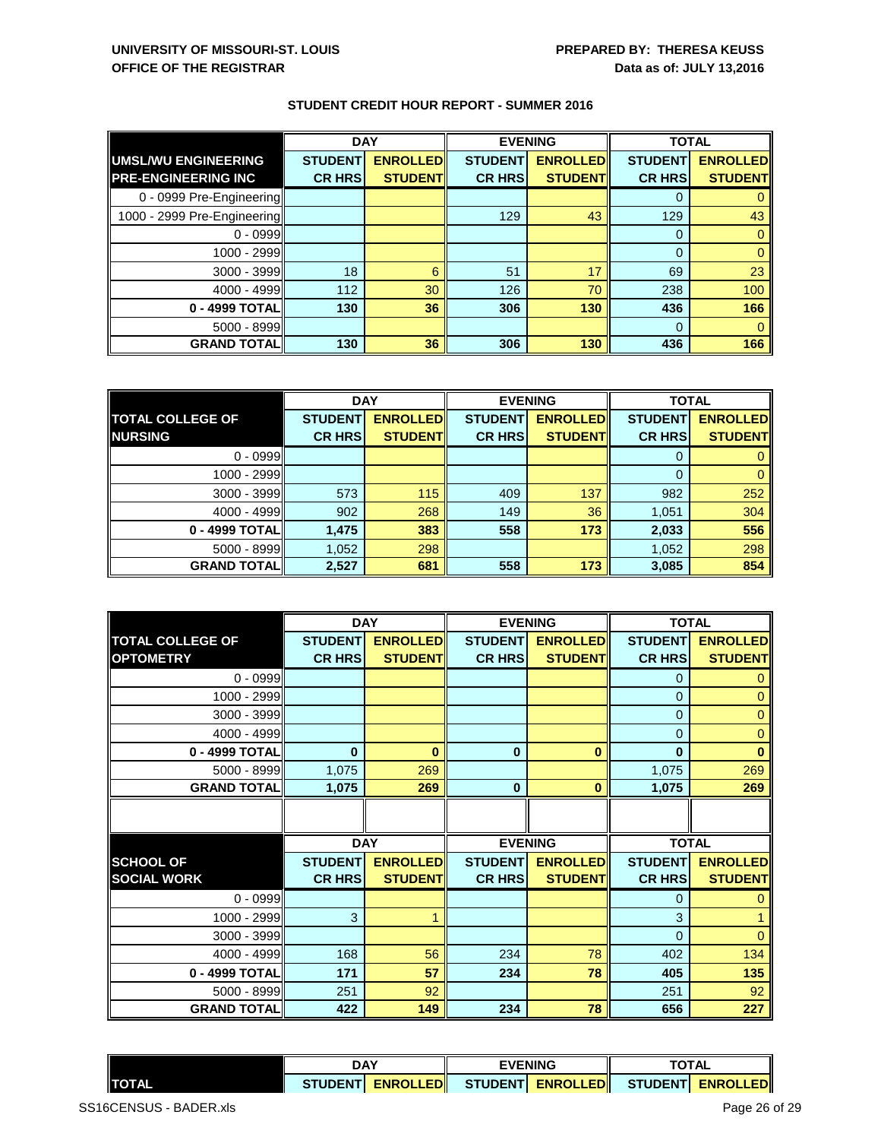|                             | <b>DAY</b>     |                 | <b>EVENING</b> |                 | <b>TOTAL</b>   |                 |
|-----------------------------|----------------|-----------------|----------------|-----------------|----------------|-----------------|
| UMSL/WU ENGINEERING         | <b>STUDENT</b> | <b>ENROLLED</b> | <b>STUDENT</b> | <b>ENROLLED</b> | <b>STUDENT</b> | <b>ENROLLED</b> |
| <b>PRE-ENGINEERING INC</b>  | <b>CR HRS</b>  | <b>STUDENT</b>  | <b>CR HRS</b>  | <b>STUDENT</b>  | <b>CR HRS</b>  | <b>STUDENT</b>  |
| 0 - 0999 Pre-Engineering    |                |                 |                |                 |                |                 |
| 1000 - 2999 Pre-Engineering |                |                 | 129            | 43              | 129            | 43              |
| $0 - 0999$                  |                |                 |                |                 | $\Omega$       |                 |
| 1000 - 2999                 |                |                 |                |                 | $\Omega$       |                 |
| $3000 - 3999$               | 18             | 6               | 51             | 17              | 69             | 23              |
| 4000 - 4999                 | 112            | 30              | 126            | 70              | 238            | 100             |
| 0 - 4999 TOTAL              | 130            | 36              | 306            | 130             | 436            | 166             |
| $5000 - 8999$               |                |                 |                |                 | $\Omega$       |                 |
| <b>GRAND TOTAL</b>          | 130            | 36              | 306            | 130             | 436            | 166             |

|                         | <b>DAY</b>     |                 |                | <b>EVENING</b>  | <b>TOTAL</b>   |                 |
|-------------------------|----------------|-----------------|----------------|-----------------|----------------|-----------------|
| <b>TOTAL COLLEGE OF</b> | <b>STUDENT</b> | <b>ENROLLED</b> | <b>STUDENT</b> | <b>ENROLLED</b> | <b>STUDENT</b> | <b>ENROLLED</b> |
| <b>NURSING</b>          | <b>CR HRS</b>  | <b>STUDENT</b>  | <b>CR HRS</b>  | <b>STUDENT</b>  | <b>CR HRS</b>  | <b>STUDENT</b>  |
| $0 - 0999$              |                |                 |                |                 |                |                 |
| 1000 - 2999             |                |                 |                |                 |                |                 |
| $3000 - 3999$           | 573            | 115             | 409            | 137             | 982            | 252             |
| 4000 - 4999             | 902            | 268             | 149            | 36              | 1,051          | 304             |
| 0 - 4999 TOTAL          | 1,475          | 383             | 558            | 173             | 2,033          | 556             |
| 5000 - 8999             | 1,052          | 298             |                |                 | 1,052          | 298             |
| <b>GRAND TOTAL</b>      | 2,527          | 681             | 558            | 173             | 3,085          | 854             |

|                         |                | <b>DAY</b>      |                | <b>EVENING</b>  | <b>TOTAL</b>   |                 |
|-------------------------|----------------|-----------------|----------------|-----------------|----------------|-----------------|
| <b>TOTAL COLLEGE OF</b> | <b>STUDENT</b> | <b>ENROLLED</b> | <b>STUDENT</b> | <b>ENROLLED</b> | <b>STUDENT</b> | <b>ENROLLED</b> |
| <b>OPTOMETRY</b>        | <b>CR HRS</b>  | <b>STUDENT</b>  | <b>CR HRS</b>  | <b>STUDENT</b>  | <b>CR HRS</b>  | <b>STUDENT</b>  |
| $0 - 0999$              |                |                 |                |                 | $\Omega$       | 0               |
| 1000 - 2999             |                |                 |                |                 | $\mathbf 0$    | $\mathbf 0$     |
| 3000 - 3999             |                |                 |                |                 | $\Omega$       | 0               |
| 4000 - 4999             |                |                 |                |                 | $\Omega$       | $\mathbf 0$     |
| 0 - 4999 TOTAL          | $\bf{0}$       | $\bf{0}$        | $\mathbf 0$    | $\bf{0}$        | $\bf{0}$       | $\bf{0}$        |
| 5000 - 8999             | 1,075          | 269             |                |                 | 1,075          | 269             |
| <b>GRAND TOTAL</b>      | 1,075          | 269             | $\bf{0}$       | $\bf{0}$        | 1,075          | 269             |
|                         |                |                 |                |                 |                |                 |
|                         |                |                 |                |                 |                |                 |
|                         |                | <b>DAY</b>      | <b>EVENING</b> |                 | <b>TOTAL</b>   |                 |
| <b>SCHOOL OF</b>        | <b>STUDENT</b> | <b>ENROLLED</b> | <b>STUDENT</b> | <b>ENROLLED</b> | <b>STUDENT</b> | <b>ENROLLED</b> |
| <b>SOCIAL WORK</b>      | <b>CR HRS</b>  | <b>STUDENT</b>  | <b>CR HRS</b>  | <b>STUDENT</b>  | <b>CR HRS</b>  | <b>STUDENT</b>  |
| $0 - 0999$              |                |                 |                |                 | $\Omega$       | 0               |
| 1000 - 2999             | 3              |                 |                |                 | 3              |                 |
| 3000 - 3999             |                |                 |                |                 | $\Omega$       | $\overline{0}$  |
| 4000 - 4999             | 168            | 56              | 234            | 78              | 402            | 134             |
| 0 - 4999 TOTAL          | 171            | 57              | 234            | 78              | 405            | 135             |
| 5000 - 8999             | 251            | 92              |                |                 | 251            | 92              |
| <b>GRAND TOTAL</b>      | 422            | 149             | 234            | 78              | 656            | 227             |

|               | <b>DAY</b>                                         |  | <b>EVENING</b> |  | <b>TOTAL</b> |  |
|---------------|----------------------------------------------------|--|----------------|--|--------------|--|
| <b>ITOTAL</b> | STUDENT ENROLLED STUDENT ENROLLED STUDENT ENROLLED |  |                |  |              |  |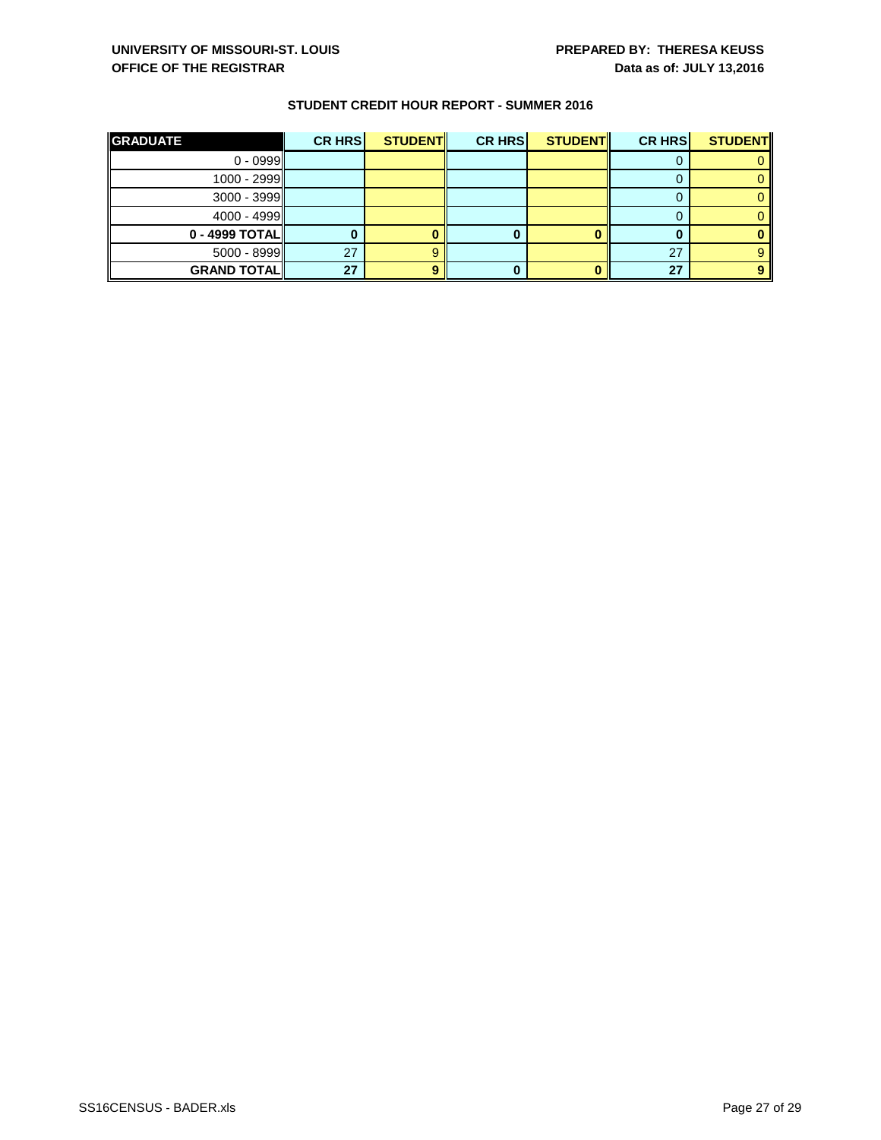| <b>GRADUATE</b>    | <b>CR HRS</b> | <b>STUDENT</b> | <b>CR HRS</b> | <b>STUDENT</b> | <b>CR HRS</b> | <b>STUDENT</b> |
|--------------------|---------------|----------------|---------------|----------------|---------------|----------------|
| $0 - 0999$         |               |                |               |                |               |                |
| $1000 - 2999$      |               |                |               |                |               |                |
| $3000 - 3999$      |               |                |               |                |               |                |
| 4000 - 4999        |               |                |               |                |               |                |
| 0 - 4999 TOTAL     |               |                |               |                |               |                |
| $5000 - 8999$      | 27            |                |               |                | 27            |                |
| <b>GRAND TOTAL</b> | 27            |                |               |                | 27            |                |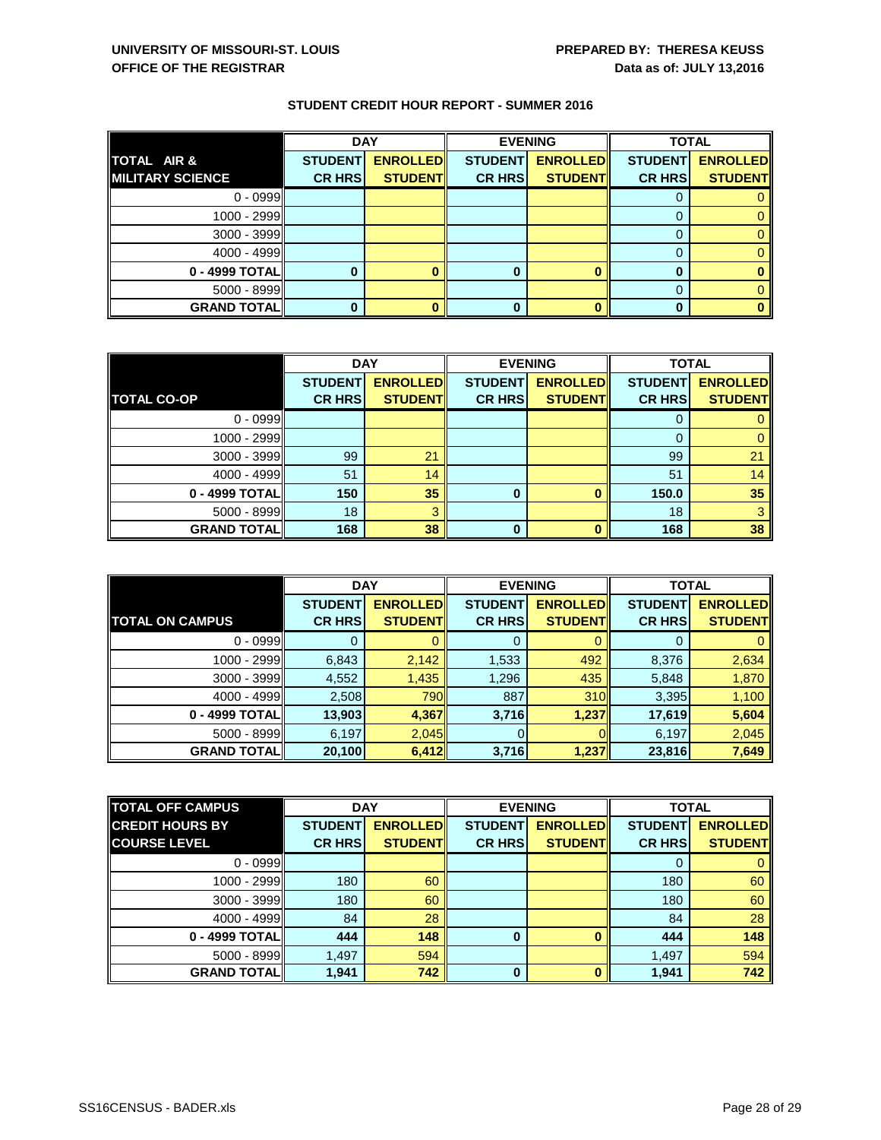|                         | <b>DAY</b>     |                 |                | <b>EVENING</b>  | <b>TOTAL</b>   |                 |
|-------------------------|----------------|-----------------|----------------|-----------------|----------------|-----------------|
| TOTAL AIR &             | <b>STUDENT</b> | <b>ENROLLED</b> | <b>STUDENT</b> | <b>ENROLLED</b> | <b>STUDENT</b> | <b>ENROLLED</b> |
| <b>MILITARY SCIENCE</b> | <b>CR HRS</b>  | <b>STUDENT</b>  | <b>CR HRS</b>  | <b>STUDENT</b>  | <b>CR HRS</b>  | <b>STUDENT</b>  |
| $0 - 0999$              |                |                 |                |                 |                |                 |
| 1000 - 2999             |                |                 |                |                 | 0              |                 |
| $3000 - 3999$           |                |                 |                |                 | $\Omega$       |                 |
| $4000 - 4999$           |                |                 |                |                 | 0              |                 |
| 0 - 4999 TOTAL          |                |                 |                |                 | 0              |                 |
| $5000 - 8999$           |                |                 |                |                 | 0              |                 |
| <b>GRAND TOTAL</b>      |                |                 | 0              |                 |                |                 |

|                      | <b>DAY</b>     |                 |                | <b>EVENING</b>  | <b>TOTAL</b>   |                 |
|----------------------|----------------|-----------------|----------------|-----------------|----------------|-----------------|
|                      | <b>STUDENT</b> | <b>ENROLLED</b> | <b>STUDENT</b> | <b>ENROLLED</b> | <b>STUDENT</b> | <b>ENROLLED</b> |
| <b>TOTAL CO-OP</b>   | <b>CR HRS</b>  | <b>STUDENT</b>  | <b>CR HRS</b>  | <b>STUDENT</b>  | <b>CR HRS</b>  | <b>STUDENT</b>  |
| $0 - 0999$           |                |                 |                |                 | O              |                 |
| 1000 - 2999          |                |                 |                |                 | O              |                 |
| $3000 - 3999$        | 99             | 21              |                |                 | 99             | 21              |
| 4000 - 4999          | 51             | 14              |                |                 | 51             | 14              |
| 0 - 4999 TOTAL       | 150            | 35              | 0              |                 | 150.0          | 35              |
| $5000 - 8999$        | 18             | З               |                |                 | 18             |                 |
| <b>GRAND TOTAL  </b> | 168            | 38              | $\mathbf{0}$   |                 | 168            | 38              |

|                        | <b>DAY</b>     |                 |                | <b>EVENING</b>  | <b>TOTAL</b>   |                 |
|------------------------|----------------|-----------------|----------------|-----------------|----------------|-----------------|
|                        | <b>STUDENT</b> | <b>ENROLLED</b> | <b>STUDENT</b> | <b>ENROLLED</b> | <b>STUDENT</b> | <b>ENROLLED</b> |
| <b>TOTAL ON CAMPUS</b> | <b>CR HRS</b>  | <b>STUDENT</b>  | <b>CR HRS</b>  | <b>STUDENT</b>  | <b>CR HRS</b>  | <b>STUDENT</b>  |
| $0 - 0999$             |                |                 | 0              |                 | 0              |                 |
| 1000 - 2999            | 6,843          | 2,142           | 1,533          | 492             | 8,376          | 2,634           |
| $3000 - 3999$          | 4,552          | 1,435           | 1,296          | 435             | 5,848          | 1,870           |
| 4000 - 4999            | 2,508          | 790             | 887            | 310             | 3,395          | 1,100           |
| 0 - 4999 TOTAL         | 13,903         | 4,367           | 3,716          | 1,237           | 17,619         | 5,604           |
| 5000 - 8999            | 6,197          | 2,045           |                |                 | 6,197          | 2,045           |
| <b>GRAND TOTAL</b>     | 20,100         | 6,412           | 3,716          | 1,237           | 23,816         | 7,649           |

| <b>TOTAL OFF CAMPUS</b> | <b>DAY</b>     |                 |                | <b>EVENING</b>  |                | <b>TOTAL</b>    |  |
|-------------------------|----------------|-----------------|----------------|-----------------|----------------|-----------------|--|
| <b>CREDIT HOURS BY</b>  | <b>STUDENT</b> | <b>ENROLLED</b> | <b>STUDENT</b> | <b>ENROLLED</b> | <b>STUDENT</b> | <b>ENROLLED</b> |  |
| <b>COURSE LEVEL</b>     | <b>CR HRS</b>  | <b>STUDENT</b>  | <b>CR HRS</b>  | <b>STUDENT</b>  | <b>CR HRS</b>  | <b>STUDENT</b>  |  |
| $0 - 0999$              |                |                 |                |                 | O              |                 |  |
| 1000 - 2999             | 180            | 60              |                |                 | 180            | 60              |  |
| $3000 - 3999$           | 180            | 60              |                |                 | 180            | 60              |  |
| $4000 - 4999$           | 84             | 28              |                |                 | 84             | 28              |  |
| 0 - 4999 TOTAL          | 444            | 148             | 0              |                 | 444            | 148             |  |
| $5000 - 8999$           | 1,497          | 594             |                |                 | 1,497          | 594             |  |
| <b>GRAND TOTAL  </b>    | 1,941          | 742             | $\bf{0}$       |                 | 1,941          | 742             |  |